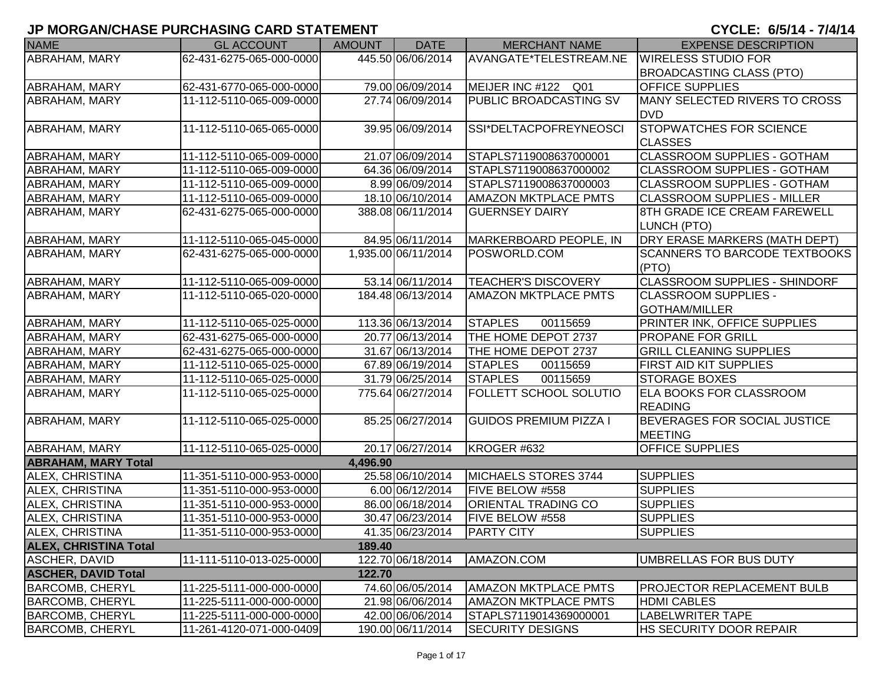| <b>NAME</b>                  | <b>GL ACCOUNT</b>        | <b>AMOUNT</b> | <b>DATE</b>         | <b>MERCHANT NAME</b>          | <b>EXPENSE DESCRIPTION</b>           |
|------------------------------|--------------------------|---------------|---------------------|-------------------------------|--------------------------------------|
| ABRAHAM, MARY                | 62-431-6275-065-000-0000 |               | 445.50 06/06/2014   | AVANGATE*TELESTREAM.NE        | <b>WIRELESS STUDIO FOR</b>           |
|                              |                          |               |                     |                               | <b>BROADCASTING CLASS (PTO)</b>      |
| ABRAHAM, MARY                | 62-431-6770-065-000-0000 |               | 79.00 06/09/2014    | MEIJER INC #122 Q01           | <b>OFFICE SUPPLIES</b>               |
| ABRAHAM, MARY                | 11-112-5110-065-009-0000 |               | 27.74 06/09/2014    | <b>PUBLIC BROADCASTING SV</b> | MANY SELECTED RIVERS TO CROSS        |
|                              |                          |               |                     |                               | <b>DVD</b>                           |
| <b>ABRAHAM, MARY</b>         | 11-112-5110-065-065-0000 |               | 39.95 06/09/2014    | SSI*DELTACPOFREYNEOSCI        | <b>STOPWATCHES FOR SCIENCE</b>       |
|                              |                          |               |                     |                               | <b>CLASSES</b>                       |
| <b>ABRAHAM, MARY</b>         | 11-112-5110-065-009-0000 |               | 21.07 06/09/2014    | STAPLS7119008637000001        | <b>CLASSROOM SUPPLIES - GOTHAM</b>   |
| <b>ABRAHAM, MARY</b>         | 11-112-5110-065-009-0000 |               | 64.36 06/09/2014    | STAPLS7119008637000002        | CLASSROOM SUPPLIES - GOTHAM          |
| ABRAHAM, MARY                | 11-112-5110-065-009-0000 |               | 8.99 06/09/2014     | STAPLS7119008637000003        | <b>CLASSROOM SUPPLIES - GOTHAM</b>   |
| ABRAHAM, MARY                | 11-112-5110-065-009-0000 |               | 18.10 06/10/2014    | <b>AMAZON MKTPLACE PMTS</b>   | <b>CLASSROOM SUPPLIES - MILLER</b>   |
| <b>ABRAHAM, MARY</b>         | 62-431-6275-065-000-0000 |               | 388.08 06/11/2014   | <b>GUERNSEY DAIRY</b>         | 8TH GRADE ICE CREAM FAREWELL         |
|                              |                          |               |                     |                               | LUNCH (PTO)                          |
| <b>ABRAHAM, MARY</b>         | 11-112-5110-065-045-0000 |               | 84.95 06/11/2014    | MARKERBOARD PEOPLE, IN        | DRY ERASE MARKERS (MATH DEPT)        |
| <b>ABRAHAM, MARY</b>         | 62-431-6275-065-000-0000 |               | 1,935.00 06/11/2014 | POSWORLD.COM                  | <b>SCANNERS TO BARCODE TEXTBOOKS</b> |
|                              |                          |               |                     |                               | (PTO)                                |
| <b>ABRAHAM, MARY</b>         | 11-112-5110-065-009-0000 |               | 53.14 06/11/2014    | <b>TEACHER'S DISCOVERY</b>    | <b>CLASSROOM SUPPLIES - SHINDORF</b> |
| <b>ABRAHAM, MARY</b>         | 11-112-5110-065-020-0000 |               | 184.48 06/13/2014   | <b>AMAZON MKTPLACE PMTS</b>   | <b>CLASSROOM SUPPLIES -</b>          |
|                              |                          |               |                     |                               | <b>GOTHAM/MILLER</b>                 |
| <b>ABRAHAM, MARY</b>         | 11-112-5110-065-025-0000 |               | 113.36 06/13/2014   | <b>STAPLES</b><br>00115659    | PRINTER INK, OFFICE SUPPLIES         |
| <b>ABRAHAM, MARY</b>         | 62-431-6275-065-000-0000 |               | 20.77 06/13/2014    | THE HOME DEPOT 2737           | <b>PROPANE FOR GRILL</b>             |
| ABRAHAM, MARY                | 62-431-6275-065-000-0000 |               | 31.67 06/13/2014    | THE HOME DEPOT 2737           | <b>GRILL CLEANING SUPPLIES</b>       |
| ABRAHAM, MARY                | 11-112-5110-065-025-0000 |               | 67.89 06/19/2014    | <b>STAPLES</b><br>00115659    | FIRST AID KIT SUPPLIES               |
| ABRAHAM, MARY                | 11-112-5110-065-025-0000 |               | 31.79 06/25/2014    | <b>STAPLES</b><br>00115659    | <b>STORAGE BOXES</b>                 |
| <b>ABRAHAM, MARY</b>         | 11-112-5110-065-025-0000 |               | 775.64 06/27/2014   | FOLLETT SCHOOL SOLUTIO        | <b>ELA BOOKS FOR CLASSROOM</b>       |
|                              |                          |               |                     |                               | <b>READING</b>                       |
| ABRAHAM, MARY                | 11-112-5110-065-025-0000 |               | 85.25 06/27/2014    | <b>GUIDOS PREMIUM PIZZA I</b> | <b>BEVERAGES FOR SOCIAL JUSTICE</b>  |
|                              |                          |               |                     |                               | <b>MEETING</b>                       |
| ABRAHAM, MARY                | 11-112-5110-065-025-0000 |               | 20.17 06/27/2014    | KROGER #632                   | <b>OFFICE SUPPLIES</b>               |
| <b>ABRAHAM, MARY Total</b>   |                          | 4,496.90      |                     |                               |                                      |
| ALEX, CHRISTINA              | 11-351-5110-000-953-0000 |               | 25.58 06/10/2014    | MICHAELS STORES 3744          | <b>SUPPLIES</b>                      |
| <b>ALEX, CHRISTINA</b>       | 11-351-5110-000-953-0000 |               | 6.00 06/12/2014     | FIVE BELOW #558               | <b>SUPPLIES</b>                      |
| <b>ALEX, CHRISTINA</b>       | 11-351-5110-000-953-0000 |               | 86.00 06/18/2014    | <b>ORIENTAL TRADING CO</b>    | <b>SUPPLIES</b>                      |
| <b>ALEX, CHRISTINA</b>       | 11-351-5110-000-953-0000 |               | 30.47 06/23/2014    | FIVE BELOW #558               | <b>SUPPLIES</b>                      |
| <b>ALEX, CHRISTINA</b>       | 11-351-5110-000-953-0000 |               | 41.35 06/23/2014    | <b>PARTY CITY</b>             | <b>SUPPLIES</b>                      |
| <b>ALEX, CHRISTINA Total</b> |                          | 189.40        |                     |                               |                                      |
| <b>ASCHER, DAVID</b>         | 11-111-5110-013-025-0000 |               | 122.70 06/18/2014   | AMAZON.COM                    | UMBRELLAS FOR BUS DUTY               |
| <b>ASCHER, DAVID Total</b>   |                          | 122.70        |                     |                               |                                      |
| <b>BARCOMB, CHERYL</b>       | 11-225-5111-000-000-0000 |               | 74.60 06/05/2014    | <b>AMAZON MKTPLACE PMTS</b>   | PROJECTOR REPLACEMENT BULB           |
| <b>BARCOMB, CHERYL</b>       | 11-225-5111-000-000-0000 |               | 21.98 06/06/2014    | <b>AMAZON MKTPLACE PMTS</b>   | <b>HDMI CABLES</b>                   |
| <b>BARCOMB, CHERYL</b>       | 11-225-5111-000-000-0000 |               | 42.00 06/06/2014    | STAPLS7119014369000001        | <b>LABELWRITER TAPE</b>              |
| <b>BARCOMB, CHERYL</b>       | 11-261-4120-071-000-0409 |               | 190.00 06/11/2014   | <b>SECURITY DESIGNS</b>       | HS SECURITY DOOR REPAIR              |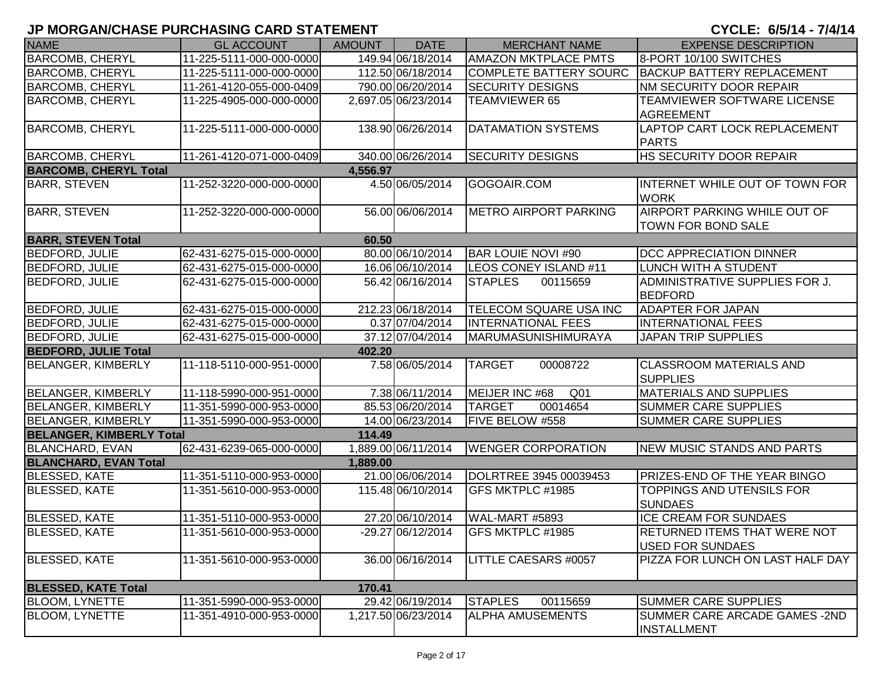| <b>NAME</b>                     | <b>GL ACCOUNT</b>        | <b>AMOUNT</b> | <b>DATE</b>         | <b>MERCHANT NAME</b>          | <b>EXPENSE DESCRIPTION</b>                                     |
|---------------------------------|--------------------------|---------------|---------------------|-------------------------------|----------------------------------------------------------------|
| <b>BARCOMB, CHERYL</b>          | 11-225-5111-000-000-0000 |               | 149.94 06/18/2014   | <b>AMAZON MKTPLACE PMTS</b>   | 8-PORT 10/100 SWITCHES                                         |
| <b>BARCOMB, CHERYL</b>          | 11-225-5111-000-000-0000 |               | 112.50 06/18/2014   | <b>COMPLETE BATTERY SOURC</b> | <b>BACKUP BATTERY REPLACEMENT</b>                              |
| <b>BARCOMB, CHERYL</b>          | 11-261-4120-055-000-0409 |               | 790.00 06/20/2014   | <b>SECURITY DESIGNS</b>       | <b>NM SECURITY DOOR REPAIR</b>                                 |
| <b>BARCOMB, CHERYL</b>          | 11-225-4905-000-000-0000 |               | 2,697.05 06/23/2014 | <b>TEAMVIEWER 65</b>          | TEAMVIEWER SOFTWARE LICENSE                                    |
|                                 |                          |               |                     |                               | <b>AGREEMENT</b>                                               |
| <b>BARCOMB, CHERYL</b>          | 11-225-5111-000-000-0000 |               | 138.90 06/26/2014   | DATAMATION SYSTEMS            | LAPTOP CART LOCK REPLACEMENT                                   |
|                                 |                          |               |                     |                               | <b>PARTS</b>                                                   |
| <b>BARCOMB, CHERYL</b>          | 11-261-4120-071-000-0409 |               | 340.00 06/26/2014   | <b>SECURITY DESIGNS</b>       | <b>HS SECURITY DOOR REPAIR</b>                                 |
| <b>BARCOMB, CHERYL Total</b>    |                          | 4,556.97      |                     |                               |                                                                |
| <b>BARR, STEVEN</b>             | 11-252-3220-000-000-0000 |               | 4.50 06/05/2014     | GOGOAIR.COM                   | INTERNET WHILE OUT OF TOWN FOR<br><b>WORK</b>                  |
| <b>BARR, STEVEN</b>             | 11-252-3220-000-000-0000 |               | 56.00 06/06/2014    | <b>METRO AIRPORT PARKING</b>  | AIRPORT PARKING WHILE OUT OF                                   |
|                                 |                          |               |                     |                               | TOWN FOR BOND SALE                                             |
| <b>BARR, STEVEN Total</b>       |                          | 60.50         |                     |                               |                                                                |
| <b>BEDFORD, JULIE</b>           | 62-431-6275-015-000-0000 |               | 80.00 06/10/2014    | <b>BAR LOUIE NOVI #90</b>     | <b>DCC APPRECIATION DINNER</b>                                 |
| <b>BEDFORD, JULIE</b>           | 62-431-6275-015-000-0000 |               | 16.06 06/10/2014    | LEOS CONEY ISLAND #11         | LUNCH WITH A STUDENT                                           |
| <b>BEDFORD, JULIE</b>           | 62-431-6275-015-000-0000 |               | 56.42 06/16/2014    | <b>STAPLES</b><br>00115659    | ADMINISTRATIVE SUPPLIES FOR J.<br><b>BEDFORD</b>               |
| <b>BEDFORD, JULIE</b>           | 62-431-6275-015-000-0000 |               | 212.23 06/18/2014   | TELECOM SQUARE USA INC        | <b>ADAPTER FOR JAPAN</b>                                       |
| <b>BEDFORD, JULIE</b>           | 62-431-6275-015-000-0000 |               | 0.37 07/04/2014     | <b>INTERNATIONAL FEES</b>     | <b>INTERNATIONAL FEES</b>                                      |
| <b>BEDFORD, JULIE</b>           | 62-431-6275-015-000-0000 |               | 37.12 07/04/2014    | MARUMASUNISHIMURAYA           | <b>JAPAN TRIP SUPPLIES</b>                                     |
| <b>BEDFORD, JULIE Total</b>     |                          | 402.20        |                     |                               |                                                                |
| <b>BELANGER, KIMBERLY</b>       | 11-118-5110-000-951-0000 |               | 7.58 06/05/2014     | <b>TARGET</b><br>00008722     | <b>CLASSROOM MATERIALS AND</b><br><b>SUPPLIES</b>              |
| <b>BELANGER, KIMBERLY</b>       | 11-118-5990-000-951-0000 |               | 7.38 06/11/2014     | MEIJER INC #68<br>Q01         | <b>MATERIALS AND SUPPLIES</b>                                  |
| <b>BELANGER, KIMBERLY</b>       | 11-351-5990-000-953-0000 |               | 85.53 06/20/2014    | 00014654<br><b>TARGET</b>     | <b>SUMMER CARE SUPPLIES</b>                                    |
| <b>BELANGER, KIMBERLY</b>       | 11-351-5990-000-953-0000 |               | 14.00 06/23/2014    | FIVE BELOW #558               | <b>SUMMER CARE SUPPLIES</b>                                    |
| <b>BELANGER, KIMBERLY Total</b> |                          | 114.49        |                     |                               |                                                                |
| <b>BLANCHARD, EVAN</b>          | 62-431-6239-065-000-0000 |               | 1,889.00 06/11/2014 | <b>WENGER CORPORATION</b>     | NEW MUSIC STANDS AND PARTS                                     |
| <b>BLANCHARD, EVAN Total</b>    |                          | 1,889.00      |                     |                               |                                                                |
| <b>BLESSED, KATE</b>            | 11-351-5110-000-953-0000 |               | 21.00 06/06/2014    | DOLRTREE 3945 00039453        | PRIZES-END OF THE YEAR BINGO                                   |
| <b>BLESSED, KATE</b>            | 11-351-5610-000-953-0000 |               | 115.48 06/10/2014   | GFS MKTPLC #1985              | TOPPINGS AND UTENSILS FOR<br><b>SUNDAES</b>                    |
| <b>BLESSED, KATE</b>            | 11-351-5110-000-953-0000 |               | 27.20 06/10/2014    | WAL-MART #5893                | <b>ICE CREAM FOR SUNDAES</b>                                   |
| <b>BLESSED, KATE</b>            | 11-351-5610-000-953-0000 |               | -29.27 06/12/2014   | GFS MKTPLC #1985              | <b>RETURNED ITEMS THAT WERE NOT</b><br><b>USED FOR SUNDAES</b> |
| <b>BLESSED, KATE</b>            | 11-351-5610-000-953-0000 |               | 36.00 06/16/2014    | LITTLE CAESARS #0057          | PIZZA FOR LUNCH ON LAST HALF DAY                               |
| <b>BLESSED, KATE Total</b>      |                          | 170.41        |                     |                               |                                                                |
| <b>BLOOM, LYNETTE</b>           | 11-351-5990-000-953-0000 |               | 29.42 06/19/2014    | <b>STAPLES</b><br>00115659    | <b>SUMMER CARE SUPPLIES</b>                                    |
| <b>BLOOM, LYNETTE</b>           | 11-351-4910-000-953-0000 |               | 1,217.50 06/23/2014 | <b>ALPHA AMUSEMENTS</b>       | SUMMER CARE ARCADE GAMES -2ND<br><b>INSTALLMENT</b>            |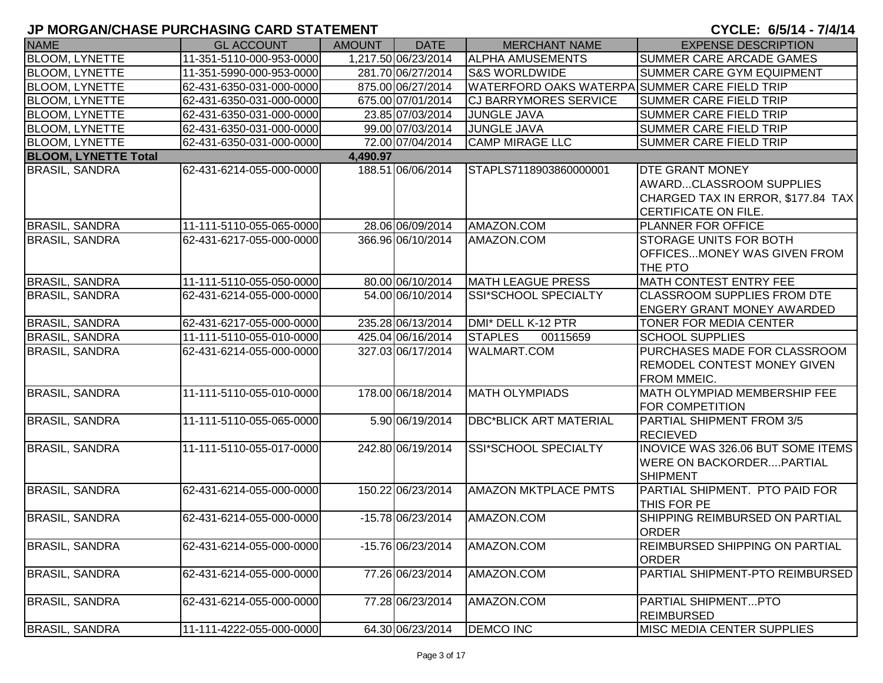| <b>NAME</b>                 | <b>GL ACCOUNT</b>        | <b>AMOUNT</b> | <b>DATE</b>         | <b>MERCHANT NAME</b>                          | <b>EXPENSE DESCRIPTION</b>                                                                                      |
|-----------------------------|--------------------------|---------------|---------------------|-----------------------------------------------|-----------------------------------------------------------------------------------------------------------------|
| <b>BLOOM, LYNETTE</b>       | 11-351-5110-000-953-0000 |               | 1,217.50 06/23/2014 | <b>ALPHA AMUSEMENTS</b>                       | <b>SUMMER CARE ARCADE GAMES</b>                                                                                 |
| <b>BLOOM, LYNETTE</b>       | 11-351-5990-000-953-0000 |               | 281.70 06/27/2014   | <b>S&amp;S WORLDWIDE</b>                      | SUMMER CARE GYM EQUIPMENT                                                                                       |
| <b>BLOOM, LYNETTE</b>       | 62-431-6350-031-000-0000 |               | 875.00 06/27/2014   | WATERFORD OAKS WATERPA SUMMER CARE FIELD TRIP |                                                                                                                 |
| <b>BLOOM, LYNETTE</b>       | 62-431-6350-031-000-0000 |               | 675.00 07/01/2014   | <b>CJ BARRYMORES SERVICE</b>                  | <b>SUMMER CARE FIELD TRIP</b>                                                                                   |
| <b>BLOOM, LYNETTE</b>       | 62-431-6350-031-000-0000 |               | 23.85 07/03/2014    | <b>JUNGLE JAVA</b>                            | <b>SUMMER CARE FIELD TRIP</b>                                                                                   |
| <b>BLOOM, LYNETTE</b>       | 62-431-6350-031-000-0000 |               | 99.00 07/03/2014    | <b>JUNGLE JAVA</b>                            | <b>SUMMER CARE FIELD TRIP</b>                                                                                   |
| <b>BLOOM, LYNETTE</b>       | 62-431-6350-031-000-0000 |               | 72.00 07/04/2014    | <b>CAMP MIRAGE LLC</b>                        | <b>SUMMER CARE FIELD TRIP</b>                                                                                   |
| <b>BLOOM, LYNETTE Total</b> |                          | 4,490.97      |                     |                                               |                                                                                                                 |
| <b>BRASIL, SANDRA</b>       | 62-431-6214-055-000-0000 |               | 188.51 06/06/2014   | STAPLS7118903860000001                        | <b>DTE GRANT MONEY</b><br>AWARDCLASSROOM SUPPLIES<br>CHARGED TAX IN ERROR, \$177.84 TAX<br>CERTIFICATE ON FILE. |
| <b>BRASIL, SANDRA</b>       | 11-111-5110-055-065-0000 |               | 28.06 06/09/2014    | AMAZON.COM                                    | <b>PLANNER FOR OFFICE</b>                                                                                       |
| <b>BRASIL, SANDRA</b>       | 62-431-6217-055-000-0000 |               | 366.96 06/10/2014   | AMAZON.COM                                    | <b>ISTORAGE UNITS FOR BOTH</b><br>OFFICESMONEY WAS GIVEN FROM<br><b>THE PTO</b>                                 |
| <b>BRASIL, SANDRA</b>       | 11-111-5110-055-050-0000 |               | 80.00 06/10/2014    | <b>MATH LEAGUE PRESS</b>                      | <b>MATH CONTEST ENTRY FEE</b>                                                                                   |
| <b>BRASIL, SANDRA</b>       | 62-431-6214-055-000-0000 |               | 54.00 06/10/2014    | SSI*SCHOOL SPECIALTY                          | <b>CLASSROOM SUPPLIES FROM DTE</b><br><b>ENGERY GRANT MONEY AWARDED</b>                                         |
| <b>BRASIL, SANDRA</b>       | 62-431-6217-055-000-0000 |               | 235.28 06/13/2014   | DMI* DELL K-12 PTR                            | <b>TONER FOR MEDIA CENTER</b>                                                                                   |
| <b>BRASIL, SANDRA</b>       | 11-111-5110-055-010-0000 |               | 425.04 06/16/2014   | <b>STAPLES</b><br>00115659                    | <b>SCHOOL SUPPLIES</b>                                                                                          |
| <b>BRASIL, SANDRA</b>       | 62-431-6214-055-000-0000 |               | 327.03 06/17/2014   | <b>WALMART.COM</b>                            | <b>PURCHASES MADE FOR CLASSROOM</b><br><b>REMODEL CONTEST MONEY GIVEN</b><br><b>FROM MMEIC.</b>                 |
| <b>BRASIL, SANDRA</b>       | 11-111-5110-055-010-0000 |               | 178.00 06/18/2014   | <b>MATH OLYMPIADS</b>                         | <b>MATH OLYMPIAD MEMBERSHIP FEE</b><br><b>FOR COMPETITION</b>                                                   |
| <b>BRASIL, SANDRA</b>       | 11-111-5110-055-065-0000 |               | 5.90 06/19/2014     | <b>DBC*BLICK ART MATERIAL</b>                 | PARTIAL SHIPMENT FROM 3/5<br><b>RECIEVED</b>                                                                    |
| <b>BRASIL, SANDRA</b>       | 11-111-5110-055-017-0000 |               | 242.80 06/19/2014   | <b>SSI*SCHOOL SPECIALTY</b>                   | <b>INOVICE WAS 326.06 BUT SOME ITEMS</b><br><b>WERE ON BACKORDERPARTIAL</b><br>SHIPMENT                         |
| <b>BRASIL, SANDRA</b>       | 62-431-6214-055-000-0000 |               | 150.22 06/23/2014   | AMAZON MKTPLACE PMTS                          | PARTIAL SHIPMENT. PTO PAID FOR<br>THIS FOR PE                                                                   |
| <b>BRASIL, SANDRA</b>       | 62-431-6214-055-000-0000 |               | -15.78 06/23/2014   | AMAZON.COM                                    | SHIPPING REIMBURSED ON PARTIAL<br><b>ORDER</b>                                                                  |
| <b>BRASIL, SANDRA</b>       | 62-431-6214-055-000-0000 |               | -15.76 06/23/2014   | AMAZON.COM                                    | <b>REIMBURSED SHIPPING ON PARTIAL</b><br><b>ORDER</b>                                                           |
| <b>BRASIL, SANDRA</b>       | 62-431-6214-055-000-0000 |               | 77.26 06/23/2014    | AMAZON.COM                                    | PARTIAL SHIPMENT-PTO REIMBURSED                                                                                 |
| <b>BRASIL, SANDRA</b>       | 62-431-6214-055-000-0000 |               | 77.28 06/23/2014    | AMAZON.COM                                    | PARTIAL SHIPMENTPTO<br><b>REIMBURSED</b>                                                                        |
| <b>BRASIL, SANDRA</b>       | 11-111-4222-055-000-0000 |               | 64.30 06/23/2014    | <b>DEMCO INC</b>                              | MISC MEDIA CENTER SUPPLIES                                                                                      |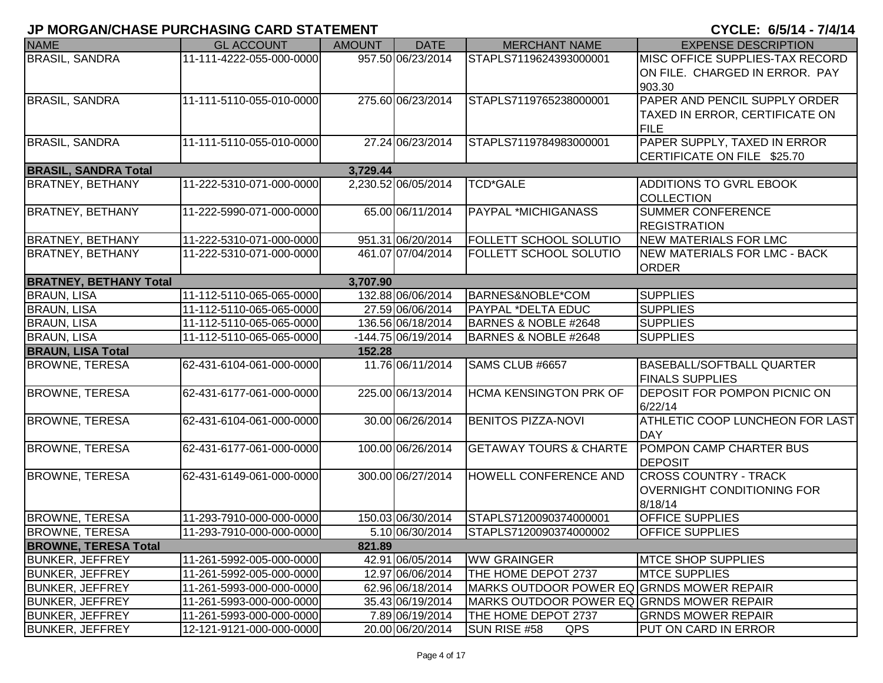| <b>NAME</b>                                           | <b>GL ACCOUNT</b>        | <b>AMOUNT</b> | <b>DATE</b>          | <b>MERCHANT NAME</b>                      | <b>EXPENSE DESCRIPTION</b>          |
|-------------------------------------------------------|--------------------------|---------------|----------------------|-------------------------------------------|-------------------------------------|
| <b>BRASIL, SANDRA</b>                                 | 11-111-4222-055-000-0000 |               | 957.50 06/23/2014    | STAPLS7119624393000001                    | MISC OFFICE SUPPLIES-TAX RECORD     |
|                                                       |                          |               |                      |                                           | ON FILE. CHARGED IN ERROR. PAY      |
|                                                       |                          |               |                      |                                           | 903.30                              |
| <b>BRASIL, SANDRA</b>                                 | 11-111-5110-055-010-0000 |               | 275.60 06/23/2014    | STAPLS7119765238000001                    | PAPER AND PENCIL SUPPLY ORDER       |
|                                                       |                          |               |                      |                                           | TAXED IN ERROR, CERTIFICATE ON      |
|                                                       |                          |               |                      |                                           | <b>FILE</b>                         |
| <b>BRASIL, SANDRA</b>                                 | 11-111-5110-055-010-0000 |               | 27.24 06/23/2014     | STAPLS7119784983000001                    | PAPER SUPPLY, TAXED IN ERROR        |
|                                                       |                          |               |                      |                                           | CERTIFICATE ON FILE \$25.70         |
| <b>BRASIL, SANDRA Total</b>                           |                          | 3,729.44      |                      |                                           |                                     |
| <b>BRATNEY, BETHANY</b>                               | 11-222-5310-071-000-0000 |               | 2,230.52 06/05/2014  | <b>TCD*GALE</b>                           | ADDITIONS TO GVRL EBOOK             |
|                                                       |                          |               |                      |                                           | <b>COLLECTION</b>                   |
| <b>BRATNEY, BETHANY</b>                               | 11-222-5990-071-000-0000 |               | 65.00 06/11/2014     | <b>PAYPAL *MICHIGANASS</b>                | <b>SUMMER CONFERENCE</b>            |
|                                                       |                          |               |                      |                                           | <b>REGISTRATION</b>                 |
| <b>BRATNEY, BETHANY</b>                               | 11-222-5310-071-000-0000 |               | 951.31 06/20/2014    | <b>FOLLETT SCHOOL SOLUTIO</b>             | <b>NEW MATERIALS FOR LMC</b>        |
| <b>BRATNEY, BETHANY</b>                               | 11-222-5310-071-000-0000 |               | 461.07 07/04/2014    | <b>FOLLETT SCHOOL SOLUTIO</b>             | <b>NEW MATERIALS FOR LMC - BACK</b> |
|                                                       |                          |               |                      |                                           | <b>ORDER</b>                        |
| <b>BRATNEY, BETHANY Total</b>                         |                          | 3,707.90      |                      |                                           |                                     |
| <b>BRAUN, LISA</b>                                    | 11-112-5110-065-065-0000 |               | 132.88 06/06/2014    | BARNES&NOBLE*COM                          | <b>SUPPLIES</b>                     |
| <b>BRAUN, LISA</b>                                    | 11-112-5110-065-065-0000 |               | 27.59 06/06/2014     | <b>PAYPAL *DELTA EDUC</b>                 | <b>SUPPLIES</b>                     |
| <b>BRAUN, LISA</b>                                    | 11-112-5110-065-065-0000 |               | 136.56 06/18/2014    | BARNES & NOBLE #2648                      | <b>SUPPLIES</b>                     |
| <b>BRAUN, LISA</b>                                    | 11-112-5110-065-065-0000 |               | $-144.75$ 06/19/2014 | BARNES & NOBLE #2648                      | <b>SUPPLIES</b>                     |
| <b>BRAUN, LISA Total</b>                              |                          | 152.28        |                      |                                           |                                     |
| <b>BROWNE, TERESA</b>                                 | 62-431-6104-061-000-0000 |               | 11.76 06/11/2014     | SAMS CLUB #6657                           | BASEBALL/SOFTBALL QUARTER           |
|                                                       |                          |               |                      |                                           | <b>FINALS SUPPLIES</b>              |
| <b>BROWNE, TERESA</b>                                 | 62-431-6177-061-000-0000 |               | 225.00 06/13/2014    | <b>HCMA KENSINGTON PRK OF</b>             | DEPOSIT FOR POMPON PICNIC ON        |
|                                                       |                          |               |                      |                                           | 6/22/14                             |
| <b>BROWNE, TERESA</b>                                 | 62-431-6104-061-000-0000 |               | 30.00 06/26/2014     | <b>BENITOS PIZZA-NOVI</b>                 | ATHLETIC COOP LUNCHEON FOR LAST     |
|                                                       |                          |               |                      |                                           | <b>DAY</b>                          |
| <b>BROWNE, TERESA</b>                                 | 62-431-6177-061-000-0000 |               | 100.00 06/26/2014    | <b>GETAWAY TOURS &amp; CHARTE</b>         | POMPON CAMP CHARTER BUS             |
|                                                       |                          |               |                      |                                           | <b>DEPOSIT</b>                      |
| <b>BROWNE, TERESA</b>                                 | 62-431-6149-061-000-0000 |               | 300.00 06/27/2014    | <b>HOWELL CONFERENCE AND</b>              | <b>CROSS COUNTRY - TRACK</b>        |
|                                                       |                          |               |                      |                                           | OVERNIGHT CONDITIONING FOR          |
|                                                       |                          |               |                      |                                           | 8/18/14                             |
| <b>BROWNE, TERESA</b>                                 | 11-293-7910-000-000-0000 |               | 150.03 06/30/2014    | STAPLS7120090374000001                    | OFFICE SUPPLIES                     |
| <b>BROWNE, TERESA</b>                                 | 11-293-7910-000-000-0000 |               | 5.10 06/30/2014      | STAPLS7120090374000002                    | <b>OFFICE SUPPLIES</b>              |
| <b>BROWNE, TERESA Total</b><br><b>BUNKER, JEFFREY</b> | 11-261-5992-005-000-0000 | 821.89        | 42.91 06/05/2014     | <b>WW GRAINGER</b>                        | <b>MTCE SHOP SUPPLIES</b>           |
|                                                       |                          |               |                      |                                           |                                     |
| <b>BUNKER, JEFFREY</b>                                | 11-261-5992-005-000-0000 |               | 12.97 06/06/2014     | THE HOME DEPOT 2737                       | <b>MTCE SUPPLIES</b>                |
| <b>BUNKER, JEFFREY</b>                                | 11-261-5993-000-000-0000 |               | 62.96 06/18/2014     | MARKS OUTDOOR POWER EQ GRNDS MOWER REPAIR |                                     |
| <b>BUNKER, JEFFREY</b>                                | 11-261-5993-000-000-0000 |               | 35.43 06/19/2014     | MARKS OUTDOOR POWER EQ GRNDS MOWER REPAIR |                                     |
| <b>BUNKER, JEFFREY</b>                                | 11-261-5993-000-000-0000 |               | 7.89 06/19/2014      | THE HOME DEPOT 2737                       | <b>GRNDS MOWER REPAIR</b>           |
| <b>BUNKER, JEFFREY</b>                                | 12-121-9121-000-000-0000 |               | 20.00 06/20/2014     | SUN RISE #58<br>QPS                       | PUT ON CARD IN ERROR                |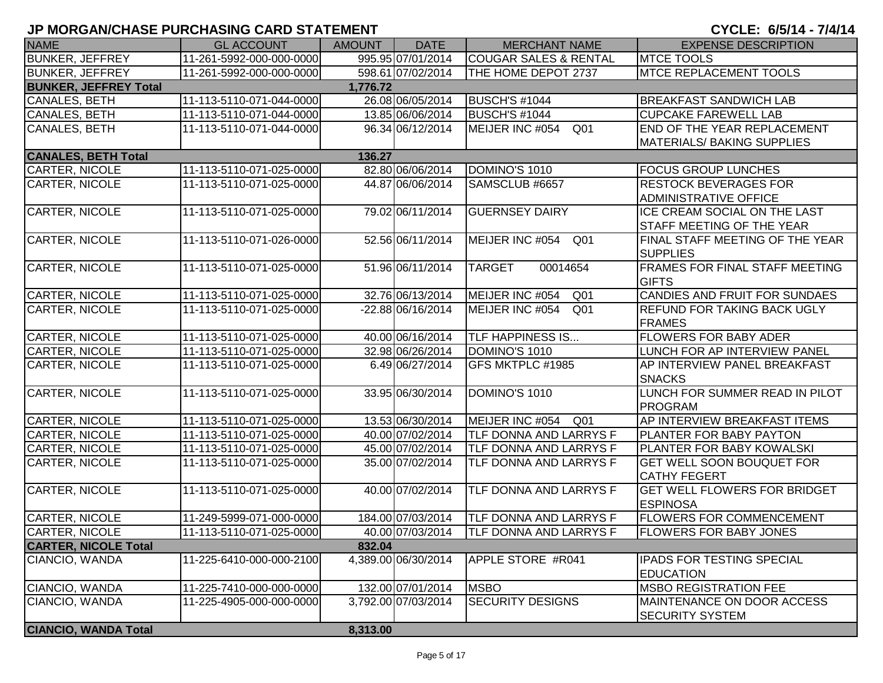| <b>NAME</b>                             | <b>GL ACCOUNT</b>                                    | <b>AMOUNT</b> | <b>DATE</b>         | <b>MERCHANT NAME</b>               | <b>EXPENSE DESCRIPTION</b>                             |  |  |  |  |  |
|-----------------------------------------|------------------------------------------------------|---------------|---------------------|------------------------------------|--------------------------------------------------------|--|--|--|--|--|
| <b>BUNKER, JEFFREY</b>                  | 11-261-5992-000-000-0000                             |               | 995.95 07/01/2014   | <b>COUGAR SALES &amp; RENTAL</b>   | <b>MTCE TOOLS</b>                                      |  |  |  |  |  |
| <b>BUNKER, JEFFREY</b>                  | 11-261-5992-000-000-0000                             |               | 598.61 07/02/2014   | THE HOME DEPOT 2737                | <b>MTCE REPLACEMENT TOOLS</b>                          |  |  |  |  |  |
| <b>BUNKER, JEFFREY Total</b>            | 1,776.72                                             |               |                     |                                    |                                                        |  |  |  |  |  |
| CANALES, BETH                           | 11-113-5110-071-044-0000                             |               | 26.08 06/05/2014    | <b>BUSCH'S #1044</b>               | <b>BREAKFAST SANDWICH LAB</b>                          |  |  |  |  |  |
| CANALES, BETH                           | 11-113-5110-071-044-0000                             |               | 13.85 06/06/2014    | <b>BUSCH'S #1044</b>               | <b>CUPCAKE FAREWELL LAB</b>                            |  |  |  |  |  |
| CANALES, BETH                           | 11-113-5110-071-044-0000                             |               | 96.34 06/12/2014    | MEIJER INC #054<br>Q <sub>01</sub> | END OF THE YEAR REPLACEMENT                            |  |  |  |  |  |
|                                         |                                                      |               |                     |                                    | <b>MATERIALS/ BAKING SUPPLIES</b>                      |  |  |  |  |  |
| <b>CANALES, BETH Total</b>              |                                                      | 136.27        |                     |                                    |                                                        |  |  |  |  |  |
| CARTER, NICOLE                          | 11-113-5110-071-025-0000                             |               | 82.80 06/06/2014    | DOMINO'S 1010                      | <b>FOCUS GROUP LUNCHES</b>                             |  |  |  |  |  |
| CARTER, NICOLE                          | 11-113-5110-071-025-0000                             |               | 44.87 06/06/2014    | SAMSCLUB #6657                     | <b>RESTOCK BEVERAGES FOR</b>                           |  |  |  |  |  |
|                                         |                                                      |               |                     |                                    | <b>ADMINISTRATIVE OFFICE</b>                           |  |  |  |  |  |
| <b>CARTER, NICOLE</b>                   | 11-113-5110-071-025-0000                             |               | 79.02 06/11/2014    | <b>GUERNSEY DAIRY</b>              | ICE CREAM SOCIAL ON THE LAST                           |  |  |  |  |  |
|                                         |                                                      |               |                     |                                    | STAFF MEETING OF THE YEAR                              |  |  |  |  |  |
| CARTER, NICOLE                          | 11-113-5110-071-026-0000                             |               | 52.56 06/11/2014    | MEIJER INC #054<br>Q <sub>01</sub> | FINAL STAFF MEETING OF THE YEAR                        |  |  |  |  |  |
|                                         |                                                      |               |                     |                                    | <b>SUPPLIES</b>                                        |  |  |  |  |  |
| CARTER, NICOLE                          | 11-113-5110-071-025-0000                             |               | 51.96 06/11/2014    | <b>TARGET</b><br>00014654          | <b>FRAMES FOR FINAL STAFF MEETING</b>                  |  |  |  |  |  |
|                                         |                                                      |               |                     |                                    | <b>GIFTS</b>                                           |  |  |  |  |  |
| CARTER, NICOLE                          | 11-113-5110-071-025-0000                             |               | 32.76 06/13/2014    | MEIJER INC #054<br>Q <sub>01</sub> | CANDIES AND FRUIT FOR SUNDAES                          |  |  |  |  |  |
| <b>CARTER, NICOLE</b>                   | 11-113-5110-071-025-0000                             |               | -22.88 06/16/2014   | MEIJER INC #054<br>Q <sub>01</sub> | <b>REFUND FOR TAKING BACK UGLY</b>                     |  |  |  |  |  |
|                                         |                                                      |               |                     |                                    | <b>FRAMES</b>                                          |  |  |  |  |  |
| CARTER, NICOLE                          | 11-113-5110-071-025-0000                             |               | 40.00 06/16/2014    | <b>TLF HAPPINESS IS</b>            | <b>FLOWERS FOR BABY ADER</b>                           |  |  |  |  |  |
| <b>CARTER, NICOLE</b>                   | 11-113-5110-071-025-0000                             |               | 32.98 06/26/2014    | DOMINO'S 1010                      | LUNCH FOR AP INTERVIEW PANEL                           |  |  |  |  |  |
| <b>CARTER, NICOLE</b>                   | 11-113-5110-071-025-0000                             |               | 6.49 06/27/2014     | GFS MKTPLC #1985                   | AP INTERVIEW PANEL BREAKFAST                           |  |  |  |  |  |
|                                         |                                                      |               |                     |                                    | <b>SNACKS</b>                                          |  |  |  |  |  |
| CARTER, NICOLE                          | 11-113-5110-071-025-0000                             |               | 33.95 06/30/2014    | DOMINO'S 1010                      | LUNCH FOR SUMMER READ IN PILOT                         |  |  |  |  |  |
|                                         |                                                      |               |                     |                                    | <b>PROGRAM</b>                                         |  |  |  |  |  |
| <b>CARTER, NICOLE</b>                   | 11-113-5110-071-025-0000                             |               | 13.53 06/30/2014    | MEIJER INC #054 Q01                | AP INTERVIEW BREAKFAST ITEMS                           |  |  |  |  |  |
| <b>CARTER, NICOLE</b>                   | 11-113-5110-071-025-0000                             |               | 40.00 07/02/2014    | TLF DONNA AND LARRYS F             | <b>PLANTER FOR BABY PAYTON</b>                         |  |  |  |  |  |
| CARTER, NICOLE                          | 11-113-5110-071-025-0000                             |               | 45.00 07/02/2014    | TLF DONNA AND LARRYS F             | <b>PLANTER FOR BABY KOWALSKI</b>                       |  |  |  |  |  |
| <b>CARTER, NICOLE</b>                   | 11-113-5110-071-025-0000                             |               | 35.00 07/02/2014    | TLF DONNA AND LARRYS F             | <b>GET WELL SOON BOUQUET FOR</b>                       |  |  |  |  |  |
|                                         |                                                      |               |                     |                                    | <b>CATHY FEGERT</b>                                    |  |  |  |  |  |
| CARTER, NICOLE                          | 11-113-5110-071-025-0000                             |               | 40.00 07/02/2014    | TLF DONNA AND LARRYS F             | <b>GET WELL FLOWERS FOR BRIDGET</b><br><b>ESPINOSA</b> |  |  |  |  |  |
|                                         |                                                      |               | 184.00 07/03/2014   | TLF DONNA AND LARRYS F             | <b>FLOWERS FOR COMMENCEMENT</b>                        |  |  |  |  |  |
| CARTER, NICOLE<br><b>CARTER, NICOLE</b> | 11-249-5999-071-000-0000<br>11-113-5110-071-025-0000 |               | 40.00 07/03/2014    | <b>TLF DONNA AND LARRYS F</b>      | <b>FLOWERS FOR BABY JONES</b>                          |  |  |  |  |  |
| <b>CARTER, NICOLE Total</b>             |                                                      | 832.04        |                     |                                    |                                                        |  |  |  |  |  |
| CIANCIO, WANDA                          | 11-225-6410-000-000-2100                             |               | 4,389.00 06/30/2014 | APPLE STORE #R041                  | <b>IPADS FOR TESTING SPECIAL</b>                       |  |  |  |  |  |
|                                         |                                                      |               |                     |                                    | <b>EDUCATION</b>                                       |  |  |  |  |  |
| CIANCIO, WANDA                          | 11-225-7410-000-000-0000                             |               | 132.00 07/01/2014   | <b>MSBO</b>                        | <b>IMSBO REGISTRATION FEE</b>                          |  |  |  |  |  |
| CIANCIO, WANDA                          | 11-225-4905-000-000-0000                             |               | 3,792.00 07/03/2014 | <b>SECURITY DESIGNS</b>            | MAINTENANCE ON DOOR ACCESS                             |  |  |  |  |  |
|                                         |                                                      |               |                     |                                    | <b>SECURITY SYSTEM</b>                                 |  |  |  |  |  |
| <b>CIANCIO, WANDA Total</b>             |                                                      | 8,313.00      |                     |                                    |                                                        |  |  |  |  |  |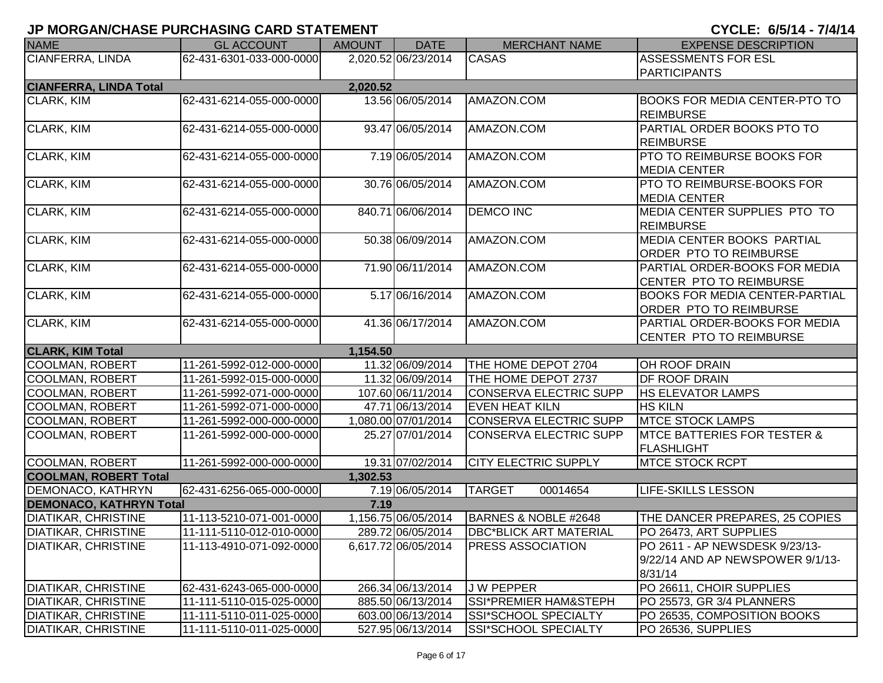| <b>NAME</b>                    | <b>GL ACCOUNT</b>        | AMOUNT   | <b>DATE</b>         | <b>MERCHANT NAME</b>          | <b>EXPENSE DESCRIPTION</b>             |
|--------------------------------|--------------------------|----------|---------------------|-------------------------------|----------------------------------------|
| <b>CIANFERRA, LINDA</b>        | 62-431-6301-033-000-0000 |          | 2,020.52 06/23/2014 | <b>CASAS</b>                  | <b>ASSESSMENTS FOR ESL</b>             |
|                                |                          |          |                     |                               | <b>PARTICIPANTS</b>                    |
| <b>CIANFERRA, LINDA Total</b>  |                          | 2,020.52 |                     |                               |                                        |
| <b>CLARK, KIM</b>              | 62-431-6214-055-000-0000 |          | 13.56 06/05/2014    | AMAZON.COM                    | <b>BOOKS FOR MEDIA CENTER-PTO TO</b>   |
|                                |                          |          |                     |                               | <b>REIMBURSE</b>                       |
| CLARK, KIM                     | 62-431-6214-055-000-0000 |          | 93.47 06/05/2014    | AMAZON.COM                    | PARTIAL ORDER BOOKS PTO TO             |
|                                |                          |          |                     |                               | <b>REIMBURSE</b>                       |
| CLARK, KIM                     | 62-431-6214-055-000-0000 |          | 7.19 06/05/2014     | AMAZON.COM                    | PTO TO REIMBURSE BOOKS FOR             |
|                                |                          |          |                     |                               | <b>MEDIA CENTER</b>                    |
| <b>CLARK, KIM</b>              | 62-431-6214-055-000-0000 |          | 30.76 06/05/2014    | AMAZON.COM                    | PTO TO REIMBURSE-BOOKS FOR             |
|                                |                          |          |                     |                               | <b>MEDIA CENTER</b>                    |
| <b>CLARK, KIM</b>              | 62-431-6214-055-000-0000 |          | 840.71 06/06/2014   | <b>DEMCO INC</b>              | MEDIA CENTER SUPPLIES PTO TO           |
|                                |                          |          |                     |                               | <b>REIMBURSE</b>                       |
| <b>CLARK, KIM</b>              | 62-431-6214-055-000-0000 |          | 50.38 06/09/2014    | AMAZON.COM                    | MEDIA CENTER BOOKS PARTIAL             |
|                                |                          |          |                     |                               | <b>ORDER PTO TO REIMBURSE</b>          |
| CLARK, KIM                     | 62-431-6214-055-000-0000 |          | 71.90 06/11/2014    | AMAZON.COM                    | PARTIAL ORDER-BOOKS FOR MEDIA          |
|                                |                          |          |                     |                               | CENTER PTO TO REIMBURSE                |
| CLARK, KIM                     | 62-431-6214-055-000-0000 |          | 5.17 06/16/2014     | AMAZON.COM                    | <b>BOOKS FOR MEDIA CENTER-PARTIAL</b>  |
|                                |                          |          |                     |                               | <b>ORDER PTO TO REIMBURSE</b>          |
| <b>CLARK, KIM</b>              | 62-431-6214-055-000-0000 |          | 41.36 06/17/2014    | AMAZON.COM                    | PARTIAL ORDER-BOOKS FOR MEDIA          |
|                                |                          |          |                     |                               | CENTER PTO TO REIMBURSE                |
| <b>CLARK, KIM Total</b>        |                          | 1,154.50 |                     |                               |                                        |
| COOLMAN, ROBERT                | 11-261-5992-012-000-0000 |          | 11.32 06/09/2014    | THE HOME DEPOT 2704           | <b>OH ROOF DRAIN</b>                   |
| <b>COOLMAN, ROBERT</b>         | 11-261-5992-015-000-0000 |          | 11.32 06/09/2014    | THE HOME DEPOT 2737           | DF ROOF DRAIN                          |
| COOLMAN, ROBERT                | 11-261-5992-071-000-0000 |          | 107.60 06/11/2014   | <b>CONSERVA ELECTRIC SUPP</b> | <b>HS ELEVATOR LAMPS</b>               |
| COOLMAN, ROBERT                | 11-261-5992-071-000-0000 |          | 47.71 06/13/2014    | <b>EVEN HEAT KILN</b>         | <b>HS KILN</b>                         |
| COOLMAN, ROBERT                | 11-261-5992-000-000-0000 |          | 1,080.00 07/01/2014 | <b>CONSERVA ELECTRIC SUPP</b> | <b>MTCE STOCK LAMPS</b>                |
| COOLMAN, ROBERT                | 11-261-5992-000-000-0000 |          | 25.27 07/01/2014    | <b>CONSERVA ELECTRIC SUPP</b> | <b>MTCE BATTERIES FOR TESTER &amp;</b> |
|                                |                          |          |                     |                               | FLASHLIGHT                             |
| COOLMAN, ROBERT                | 11-261-5992-000-000-0000 |          | 19.31 07/02/2014    | CITY ELECTRIC SUPPLY          | <b>MTCE STOCK RCPT</b>                 |
| <b>COOLMAN, ROBERT Total</b>   |                          | 1,302.53 |                     |                               |                                        |
| <b>DEMONACO, KATHRYN</b>       | 62-431-6256-065-000-0000 |          | 7.19 06/05/2014     | <b>TARGET</b><br>00014654     | <b>LIFE-SKILLS LESSON</b>              |
| <b>DEMONACO, KATHRYN Total</b> |                          | 7.19     |                     |                               |                                        |
| <b>DIATIKAR, CHRISTINE</b>     | 11-113-5210-071-001-0000 |          | 1,156.75 06/05/2014 | BARNES & NOBLE #2648          | THE DANCER PREPARES, 25 COPIES         |
| DIATIKAR, CHRISTINE            | 11-111-5110-012-010-0000 |          | 289.72 06/05/2014   | <b>DBC*BLICK ART MATERIAL</b> | PO 26473, ART SUPPLIES                 |
| <b>DIATIKAR, CHRISTINE</b>     | 11-113-4910-071-092-0000 |          | 6,617.72 06/05/2014 | <b>PRESS ASSOCIATION</b>      | PO 2611 - AP NEWSDESK 9/23/13-         |
|                                |                          |          |                     |                               | 9/22/14 AND AP NEWSPOWER 9/1/13-       |
|                                |                          |          |                     |                               | 8/31/14                                |
| <b>DIATIKAR, CHRISTINE</b>     | 62-431-6243-065-000-0000 |          | 266.34 06/13/2014   | <b>JW PEPPER</b>              | PO 26611, CHOIR SUPPLIES               |
| <b>DIATIKAR, CHRISTINE</b>     | 11-111-5110-015-025-0000 |          | 885.50 06/13/2014   | SSI*PREMIER HAM&STEPH         | PO 25573, GR 3/4 PLANNERS              |
| <b>DIATIKAR, CHRISTINE</b>     | 11-111-5110-011-025-0000 |          | 603.00 06/13/2014   | SSI*SCHOOL SPECIALTY          | PO 26535, COMPOSITION BOOKS            |
| <b>DIATIKAR, CHRISTINE</b>     | 11-111-5110-011-025-0000 |          | 527.95 06/13/2014   | SSI*SCHOOL SPECIALTY          | PO 26536, SUPPLIES                     |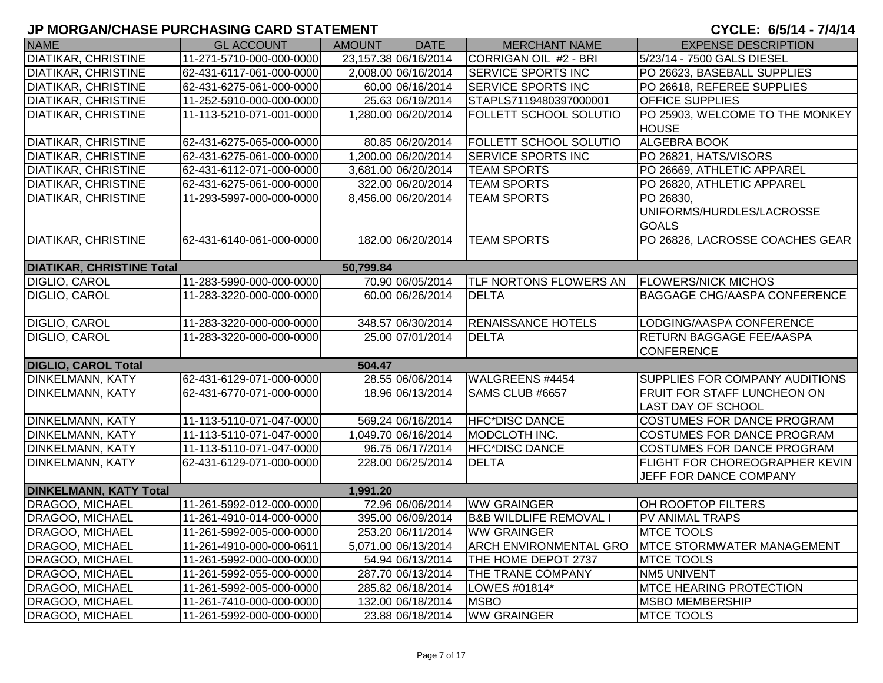| <b>NAME</b>                      | <b>GL ACCOUNT</b>        | <b>AMOUNT</b> | <b>DATE</b>          | <b>MERCHANT NAME</b>            | <b>EXPENSE DESCRIPTION</b>            |
|----------------------------------|--------------------------|---------------|----------------------|---------------------------------|---------------------------------------|
| <b>DIATIKAR, CHRISTINE</b>       | 11-271-5710-000-000-0000 |               | 23,157.38 06/16/2014 | CORRIGAN OIL #2 - BRI           | 5/23/14 - 7500 GALS DIESEL            |
| <b>DIATIKAR, CHRISTINE</b>       | 62-431-6117-061-000-0000 |               | 2,008.00 06/16/2014  | <b>SERVICE SPORTS INC</b>       | PO 26623, BASEBALL SUPPLIES           |
| <b>DIATIKAR, CHRISTINE</b>       | 62-431-6275-061-000-0000 |               | 60.00 06/16/2014     | <b>SERVICE SPORTS INC</b>       | PO 26618, REFEREE SUPPLIES            |
| <b>DIATIKAR, CHRISTINE</b>       | 11-252-5910-000-000-0000 |               | 25.63 06/19/2014     | STAPLS7119480397000001          | <b>OFFICE SUPPLIES</b>                |
| <b>DIATIKAR, CHRISTINE</b>       | 11-113-5210-071-001-0000 |               | 1,280.00 06/20/2014  | <b>FOLLETT SCHOOL SOLUTIO</b>   | PO 25903, WELCOME TO THE MONKEY       |
|                                  |                          |               |                      |                                 | <b>HOUSE</b>                          |
| <b>DIATIKAR, CHRISTINE</b>       | 62-431-6275-065-000-0000 |               | 80.85 06/20/2014     | <b>FOLLETT SCHOOL SOLUTIO</b>   | <b>ALGEBRA BOOK</b>                   |
| <b>DIATIKAR, CHRISTINE</b>       | 62-431-6275-061-000-0000 |               | 1,200.00 06/20/2014  | <b>SERVICE SPORTS INC</b>       | PO 26821, HATS/VISORS                 |
| <b>DIATIKAR, CHRISTINE</b>       | 62-431-6112-071-000-0000 |               | 3,681.00 06/20/2014  | <b>TEAM SPORTS</b>              | PO 26669, ATHLETIC APPAREL            |
| <b>DIATIKAR, CHRISTINE</b>       | 62-431-6275-061-000-0000 |               | 322.00 06/20/2014    | <b>TEAM SPORTS</b>              | PO 26820, ATHLETIC APPAREL            |
| <b>DIATIKAR, CHRISTINE</b>       | 11-293-5997-000-000-0000 |               | 8,456.00 06/20/2014  | <b>TEAM SPORTS</b>              | PO 26830,                             |
|                                  |                          |               |                      |                                 | UNIFORMS/HURDLES/LACROSSE             |
|                                  |                          |               |                      |                                 | <b>GOALS</b>                          |
| <b>DIATIKAR, CHRISTINE</b>       | 62-431-6140-061-000-0000 |               | 182.00 06/20/2014    | <b>TEAM SPORTS</b>              | PO 26826, LACROSSE COACHES GEAR       |
|                                  |                          |               |                      |                                 |                                       |
| <b>DIATIKAR, CHRISTINE Total</b> |                          | 50,799.84     |                      |                                 |                                       |
| <b>DIGLIO, CAROL</b>             | 11-283-5990-000-000-0000 |               | 70.90 06/05/2014     | <b>TLF NORTONS FLOWERS AN</b>   | <b>FLOWERS/NICK MICHOS</b>            |
| DIGLIO, CAROL                    | 11-283-3220-000-000-0000 |               | 60.00 06/26/2014     | <b>DELTA</b>                    | <b>BAGGAGE CHG/AASPA CONFERENCE</b>   |
|                                  |                          |               |                      |                                 |                                       |
| <b>DIGLIO, CAROL</b>             | 11-283-3220-000-000-0000 |               | 348.57 06/30/2014    | <b>RENAISSANCE HOTELS</b>       | LODGING/AASPA CONFERENCE              |
| DIGLIO, CAROL                    | 11-283-3220-000-000-0000 |               | 25.00 07/01/2014     | <b>DELTA</b>                    | <b>RETURN BAGGAGE FEE/AASPA</b>       |
|                                  |                          |               |                      |                                 | <b>CONFERENCE</b>                     |
| <b>DIGLIO, CAROL Total</b>       |                          | 504.47        |                      |                                 |                                       |
| DINKELMANN, KATY                 | 62-431-6129-071-000-0000 |               | 28.55 06/06/2014     | WALGREENS #4454                 | SUPPLIES FOR COMPANY AUDITIONS        |
| <b>DINKELMANN, KATY</b>          | 62-431-6770-071-000-0000 |               | 18.96 06/13/2014     | SAMS CLUB #6657                 | <b>FRUIT FOR STAFF LUNCHEON ON</b>    |
|                                  |                          |               |                      |                                 | <b>LAST DAY OF SCHOOL</b>             |
| <b>DINKELMANN, KATY</b>          | 11-113-5110-071-047-0000 |               | 569.24 06/16/2014    | <b>HFC*DISC DANCE</b>           | <b>COSTUMES FOR DANCE PROGRAM</b>     |
| <b>DINKELMANN, KATY</b>          | 11-113-5110-071-047-0000 |               | 1,049.70 06/16/2014  | MODCLOTH INC.                   | <b>COSTUMES FOR DANCE PROGRAM</b>     |
| <b>DINKELMANN, KATY</b>          | 11-113-5110-071-047-0000 |               | 96.75 06/17/2014     | <b>HFC*DISC DANCE</b>           | COSTUMES FOR DANCE PROGRAM            |
| DINKELMANN, KATY                 | 62-431-6129-071-000-0000 |               | 228.00 06/25/2014    | <b>DELTA</b>                    | <b>FLIGHT FOR CHOREOGRAPHER KEVIN</b> |
|                                  |                          |               |                      |                                 | JEFF FOR DANCE COMPANY                |
| <b>DINKELMANN, KATY Total</b>    |                          | 1,991.20      |                      |                                 |                                       |
| DRAGOO, MICHAEL                  | 11-261-5992-012-000-0000 |               | 72.96 06/06/2014     | <b>WW GRAINGER</b>              | OH ROOFTOP FILTERS                    |
| <b>DRAGOO, MICHAEL</b>           | 11-261-4910-014-000-0000 |               | 395.00 06/09/2014    | <b>B&amp;B WILDLIFE REMOVAL</b> | PV ANIMAL TRAPS                       |
| DRAGOO, MICHAEL                  | 11-261-5992-005-000-0000 |               | 253.20 06/11/2014    | <b>WW GRAINGER</b>              | <b>MTCE TOOLS</b>                     |
| DRAGOO, MICHAEL                  | 11-261-4910-000-000-0611 |               | 5,071.00 06/13/2014  | <b>ARCH ENVIRONMENTAL GRO</b>   | <b>IMTCE STORMWATER MANAGEMENT</b>    |
| <b>DRAGOO, MICHAEL</b>           | 11-261-5992-000-000-0000 |               | 54.94 06/13/2014     | THE HOME DEPOT 2737             | <b>MTCE TOOLS</b>                     |
| DRAGOO, MICHAEL                  | 11-261-5992-055-000-0000 |               | 287.70 06/13/2014    | <b>THE TRANE COMPANY</b>        | <b>NM5 UNIVENT</b>                    |
| DRAGOO, MICHAEL                  | 11-261-5992-005-000-0000 |               | 285.82 06/18/2014    | LOWES #01814*                   | <b>MTCE HEARING PROTECTION</b>        |
| DRAGOO, MICHAEL                  | 11-261-7410-000-000-0000 |               | 132.00 06/18/2014    | <b>MSBO</b>                     | <b>MSBO MEMBERSHIP</b>                |
| DRAGOO, MICHAEL                  | 11-261-5992-000-000-0000 |               | 23.88 06/18/2014     | <b>WW GRAINGER</b>              | <b>MTCE TOOLS</b>                     |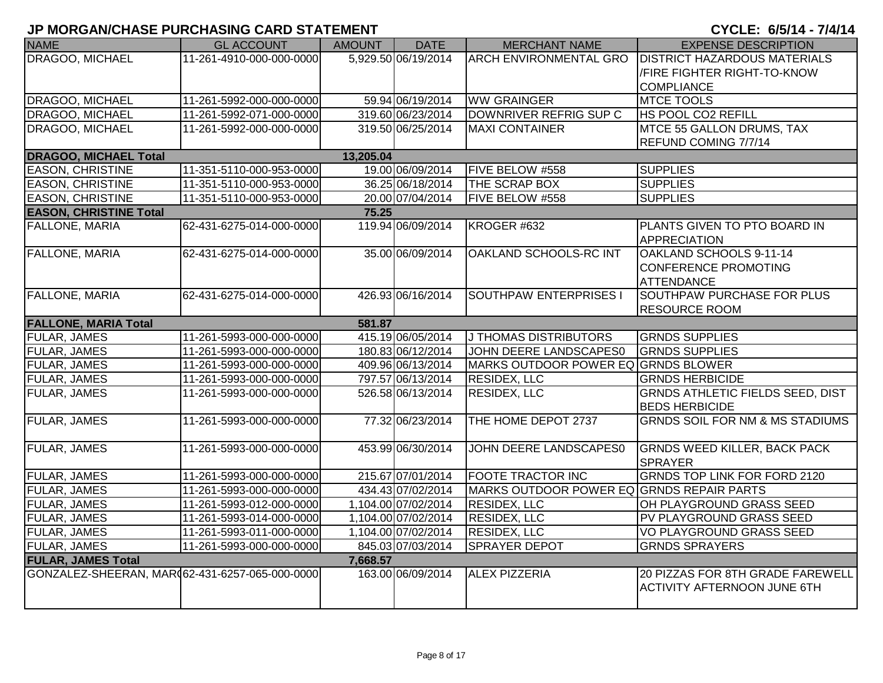| <b>NAME</b>                                    | <b>GL ACCOUNT</b>        | AMOUNT    | <b>DATE</b>         | <b>MERCHANT NAME</b>                      | <b>EXPENSE DESCRIPTION</b>                 |
|------------------------------------------------|--------------------------|-----------|---------------------|-------------------------------------------|--------------------------------------------|
| DRAGOO, MICHAEL                                | 11-261-4910-000-000-0000 |           | 5,929.50 06/19/2014 | <b>ARCH ENVIRONMENTAL GRO</b>             | <b>DISTRICT HAZARDOUS MATERIALS</b>        |
|                                                |                          |           |                     |                                           | /FIRE FIGHTER RIGHT-TO-KNOW                |
|                                                |                          |           |                     |                                           | <b>COMPLIANCE</b>                          |
| DRAGOO, MICHAEL                                | 11-261-5992-000-000-0000 |           | 59.94 06/19/2014    | <b>WW GRAINGER</b>                        | <b>MTCE TOOLS</b>                          |
| DRAGOO, MICHAEL                                | 11-261-5992-071-000-0000 |           | 319.60 06/23/2014   | DOWNRIVER REFRIG SUP C                    | HS POOL CO2 REFILL                         |
| DRAGOO, MICHAEL                                | 11-261-5992-000-000-0000 |           | 319.50 06/25/2014   | <b>MAXI CONTAINER</b>                     | MTCE 55 GALLON DRUMS, TAX                  |
|                                                |                          |           |                     |                                           | REFUND COMING 7/7/14                       |
| <b>DRAGOO, MICHAEL Total</b>                   |                          | 13,205.04 |                     |                                           |                                            |
| <b>EASON, CHRISTINE</b>                        | 11-351-5110-000-953-0000 |           | 19.00 06/09/2014    | FIVE BELOW #558                           | <b>SUPPLIES</b>                            |
| <b>EASON, CHRISTINE</b>                        | 11-351-5110-000-953-0000 |           | 36.25 06/18/2014    | THE SCRAP BOX                             | <b>SUPPLIES</b>                            |
| <b>EASON, CHRISTINE</b>                        | 11-351-5110-000-953-0000 |           | 20.00 07/04/2014    | FIVE BELOW #558                           | <b>SUPPLIES</b>                            |
| <b>EASON, CHRISTINE Total</b>                  |                          | 75.25     |                     |                                           |                                            |
| FALLONE, MARIA                                 | 62-431-6275-014-000-0000 |           | 119.94 06/09/2014   | KROGER #632                               | PLANTS GIVEN TO PTO BOARD IN               |
|                                                |                          |           |                     |                                           | <b>APPRECIATION</b>                        |
| <b>FALLONE, MARIA</b>                          | 62-431-6275-014-000-0000 |           | 35.00 06/09/2014    | <b>OAKLAND SCHOOLS-RC INT</b>             | OAKLAND SCHOOLS 9-11-14                    |
|                                                |                          |           |                     |                                           | <b>CONFERENCE PROMOTING</b>                |
|                                                |                          |           |                     |                                           | <b>ATTENDANCE</b>                          |
| <b>FALLONE, MARIA</b>                          | 62-431-6275-014-000-0000 |           | 426.93 06/16/2014   | <b>SOUTHPAW ENTERPRISES I</b>             | <b>SOUTHPAW PURCHASE FOR PLUS</b>          |
|                                                |                          |           |                     |                                           | <b>RESOURCE ROOM</b>                       |
| <b>FALLONE, MARIA Total</b>                    |                          | 581.87    |                     |                                           |                                            |
| <b>FULAR, JAMES</b>                            | 11-261-5993-000-000-0000 |           | 415.19 06/05/2014   | J THOMAS DISTRIBUTORS                     | <b>GRNDS SUPPLIES</b>                      |
| <b>FULAR, JAMES</b>                            | 11-261-5993-000-000-0000 |           | 180.83 06/12/2014   | JOHN DEERE LANDSCAPES0                    | <b>GRNDS SUPPLIES</b>                      |
| FULAR, JAMES                                   | 11-261-5993-000-000-0000 |           | 409.96 06/13/2014   | MARKS OUTDOOR POWER EQ GRNDS BLOWER       |                                            |
| FULAR, JAMES                                   | 11-261-5993-000-000-0000 |           | 797.57 06/13/2014   | <b>RESIDEX, LLC</b>                       | <b>GRNDS HERBICIDE</b>                     |
| <b>FULAR, JAMES</b>                            | 11-261-5993-000-000-0000 |           | 526.58 06/13/2014   | <b>RESIDEX, LLC</b>                       | <b>GRNDS ATHLETIC FIELDS SEED, DIST</b>    |
|                                                |                          |           |                     |                                           | <b>BEDS HERBICIDE</b>                      |
| <b>FULAR, JAMES</b>                            | 11-261-5993-000-000-0000 |           | 77.32 06/23/2014    | THE HOME DEPOT 2737                       | <b>GRNDS SOIL FOR NM &amp; MS STADIUMS</b> |
|                                                |                          |           |                     |                                           |                                            |
| <b>FULAR, JAMES</b>                            | 11-261-5993-000-000-0000 |           | 453.99 06/30/2014   | JOHN DEERE LANDSCAPES0                    | <b>GRNDS WEED KILLER, BACK PACK</b>        |
|                                                |                          |           |                     |                                           | <b>SPRAYER</b>                             |
| <b>FULAR, JAMES</b>                            | 11-261-5993-000-000-0000 |           | 215.67 07/01/2014   | FOOTE TRACTOR INC                         | <b>GRNDS TOP LINK FOR FORD 2120</b>        |
| <b>FULAR, JAMES</b>                            | 11-261-5993-000-000-0000 |           | 434.43 07/02/2014   | MARKS OUTDOOR POWER EQ GRNDS REPAIR PARTS |                                            |
| <b>FULAR, JAMES</b>                            | 11-261-5993-012-000-0000 |           | 1,104.00 07/02/2014 | <b>RESIDEX, LLC</b>                       | OH PLAYGROUND GRASS SEED                   |
| FULAR, JAMES                                   | 11-261-5993-014-000-0000 |           | 1,104.00 07/02/2014 | <b>RESIDEX, LLC</b>                       | PV PLAYGROUND GRASS SEED                   |
| FULAR, JAMES                                   | 11-261-5993-011-000-0000 |           | 1,104.00 07/02/2014 | <b>RESIDEX, LLC</b>                       | VO PLAYGROUND GRASS SEED                   |
| FULAR, JAMES                                   | 11-261-5993-000-000-0000 |           | 845.03 07/03/2014   | <b>SPRAYER DEPOT</b>                      | <b>GRNDS SPRAYERS</b>                      |
| <b>FULAR, JAMES Total</b>                      |                          | 7,668.57  |                     |                                           |                                            |
| GONZALEZ-SHEERAN, MAR(62-431-6257-065-000-0000 |                          |           | 163.00 06/09/2014   | <b>ALEX PIZZERIA</b>                      | 20 PIZZAS FOR 8TH GRADE FAREWELL           |
|                                                |                          |           |                     |                                           | <b>ACTIVITY AFTERNOON JUNE 6TH</b>         |
|                                                |                          |           |                     |                                           |                                            |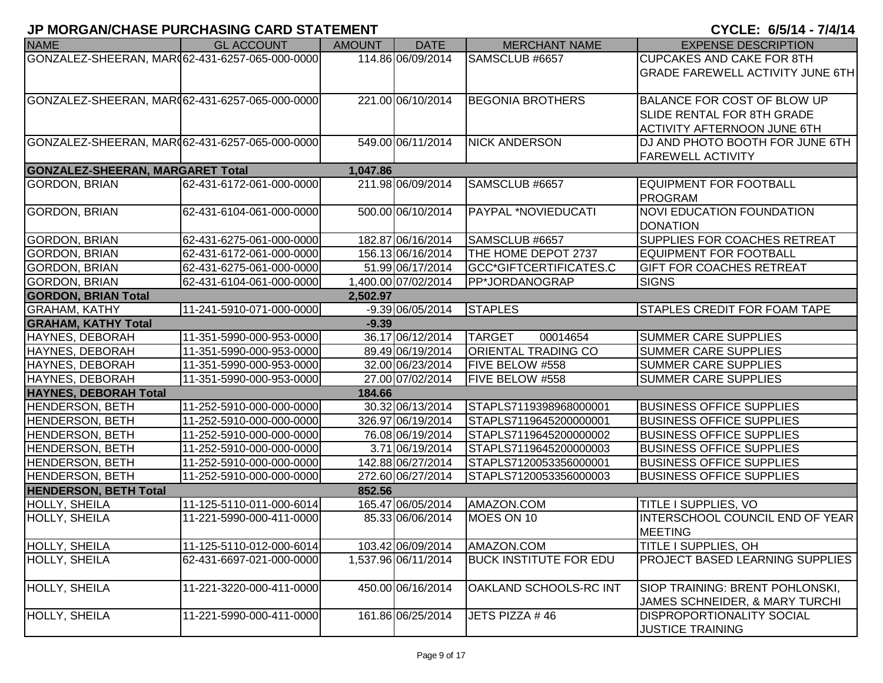| <b>NAME</b>                                    | <b>GL ACCOUNT</b>        | <b>AMOUNT</b> | <b>DATE</b>         | <b>MERCHANT NAME</b>          | <b>EXPENSE DESCRIPTION</b>                                |
|------------------------------------------------|--------------------------|---------------|---------------------|-------------------------------|-----------------------------------------------------------|
| GONZALEZ-SHEERAN, MAR062-431-6257-065-000-0000 |                          |               | 114.86 06/09/2014   | SAMSCLUB #6657                | <b>CUPCAKES AND CAKE FOR 8TH</b>                          |
|                                                |                          |               |                     |                               | <b>GRADE FAREWELL ACTIVITY JUNE 6TH</b>                   |
|                                                |                          |               |                     |                               |                                                           |
| GONZALEZ-SHEERAN, MAR062-431-6257-065-000-0000 |                          |               | 221.00 06/10/2014   | <b>BEGONIA BROTHERS</b>       | <b>BALANCE FOR COST OF BLOW UP</b>                        |
|                                                |                          |               |                     |                               | <b>SLIDE RENTAL FOR 8TH GRADE</b>                         |
|                                                |                          |               |                     |                               | <b>ACTIVITY AFTERNOON JUNE 6TH</b>                        |
| GONZALEZ-SHEERAN, MAR(62-431-6257-065-000-0000 |                          |               | 549.00 06/11/2014   | <b>NICK ANDERSON</b>          | DJ AND PHOTO BOOTH FOR JUNE 6TH                           |
|                                                |                          |               |                     |                               | <b>FAREWELL ACTIVITY</b>                                  |
| <b>GONZALEZ-SHEERAN, MARGARET Total</b>        |                          | 1,047.86      |                     |                               |                                                           |
| <b>GORDON, BRIAN</b>                           | 62-431-6172-061-000-0000 |               | 211.98 06/09/2014   | SAMSCLUB #6657                | <b>EQUIPMENT FOR FOOTBALL</b>                             |
|                                                |                          |               |                     |                               | <b>PROGRAM</b>                                            |
| <b>GORDON, BRIAN</b>                           | 62-431-6104-061-000-0000 |               | 500.00 06/10/2014   | PAYPAL *NOVIEDUCATI           | <b>NOVI EDUCATION FOUNDATION</b>                          |
|                                                |                          |               |                     |                               | <b>DONATION</b>                                           |
| <b>GORDON, BRIAN</b>                           | 62-431-6275-061-000-0000 |               | 182.87 06/16/2014   | SAMSCLUB #6657                | <b>SUPPLIES FOR COACHES RETREAT</b>                       |
| <b>GORDON, BRIAN</b>                           | 62-431-6172-061-000-0000 |               | 156.13 06/16/2014   | THE HOME DEPOT 2737           | <b>EQUIPMENT FOR FOOTBALL</b>                             |
| <b>GORDON, BRIAN</b>                           | 62-431-6275-061-000-0000 |               | 51.99 06/17/2014    | GCC*GIFTCERTIFICATES.C        | <b>GIFT FOR COACHES RETREAT</b>                           |
| <b>GORDON, BRIAN</b>                           | 62-431-6104-061-000-0000 |               | 1.400.00 07/02/2014 | PP*JORDANOGRAP                | <b>SIGNS</b>                                              |
| <b>GORDON, BRIAN Total</b>                     |                          | 2,502.97      |                     |                               |                                                           |
| <b>GRAHAM, KATHY</b>                           | 11-241-5910-071-000-0000 |               | $-9.39 06/05/2014$  | <b>STAPLES</b>                | <b>STAPLES CREDIT FOR FOAM TAPE</b>                       |
| <b>GRAHAM, KATHY Total</b>                     |                          | $-9.39$       |                     |                               |                                                           |
| HAYNES, DEBORAH                                | 11-351-5990-000-953-0000 |               | 36.17 06/12/2014    | <b>TARGET</b><br>00014654     | <b>SUMMER CARE SUPPLIES</b>                               |
| HAYNES, DEBORAH                                | 11-351-5990-000-953-0000 |               | 89.49 06/19/2014    | ORIENTAL TRADING CO           | <b>SUMMER CARE SUPPLIES</b>                               |
| HAYNES, DEBORAH                                | 11-351-5990-000-953-0000 |               | 32.00 06/23/2014    | <b>FIVE BELOW #558</b>        | <b>SUMMER CARE SUPPLIES</b>                               |
| HAYNES, DEBORAH                                | 11-351-5990-000-953-0000 |               | 27.00 07/02/2014    | FIVE BELOW #558               | <b>SUMMER CARE SUPPLIES</b>                               |
| <b>HAYNES, DEBORAH Total</b>                   |                          | 184.66        |                     |                               |                                                           |
| <b>HENDERSON, BETH</b>                         | 11-252-5910-000-000-0000 |               | 30.32 06/13/2014    | STAPLS7119398968000001        | <b>BUSINESS OFFICE SUPPLIES</b>                           |
| <b>HENDERSON, BETH</b>                         | 11-252-5910-000-000-0000 |               | 326.97 06/19/2014   | STAPLS7119645200000001        | <b>BUSINESS OFFICE SUPPLIES</b>                           |
| <b>HENDERSON, BETH</b>                         | 11-252-5910-000-000-0000 |               | 76.08 06/19/2014    | STAPLS7119645200000002        | <b>BUSINESS OFFICE SUPPLIES</b>                           |
| <b>HENDERSON, BETH</b>                         | 11-252-5910-000-000-0000 |               | 3.71 06/19/2014     | STAPLS7119645200000003        | <b>BUSINESS OFFICE SUPPLIES</b>                           |
| <b>HENDERSON, BETH</b>                         | 11-252-5910-000-000-0000 |               | 142.88 06/27/2014   | STAPLS7120053356000001        | <b>BUSINESS OFFICE SUPPLIES</b>                           |
| <b>HENDERSON, BETH</b>                         | 11-252-5910-000-000-0000 |               | 272.60 06/27/2014   | STAPLS7120053356000003        | <b>BUSINESS OFFICE SUPPLIES</b>                           |
| <b>HENDERSON, BETH Total</b>                   |                          | 852.56        |                     |                               |                                                           |
| HOLLY, SHEILA                                  | 11-125-5110-011-000-6014 |               | 165.47 06/05/2014   | AMAZON.COM                    | <b>TITLE I SUPPLIES, VO</b>                               |
| HOLLY, SHEILA                                  | 11-221-5990-000-411-0000 |               | 85.33 06/06/2014    | MOES ON 10                    | <b>INTERSCHOOL COUNCIL END OF YEAR</b><br><b>IMEETING</b> |
| HOLLY, SHEILA                                  | 11-125-5110-012-000-6014 |               | 103.42 06/09/2014   | AMAZON.COM                    | <b>TITLE I SUPPLIES, OH</b>                               |
| HOLLY, SHEILA                                  | 62-431-6697-021-000-0000 |               | 1,537.96 06/11/2014 | <b>BUCK INSTITUTE FOR EDU</b> | PROJECT BASED LEARNING SUPPLIES                           |
|                                                |                          |               |                     |                               |                                                           |
| HOLLY, SHEILA                                  | 11-221-3220-000-411-0000 |               | 450.00 06/16/2014   | OAKLAND SCHOOLS-RC INT        | SIOP TRAINING: BRENT POHLONSKI,                           |
|                                                |                          |               |                     |                               | JAMES SCHNEIDER, & MARY TURCHI                            |
| HOLLY, SHEILA                                  | 11-221-5990-000-411-0000 |               | 161.86 06/25/2014   | JETS PIZZA #46                | <b>DISPROPORTIONALITY SOCIAL</b>                          |
|                                                |                          |               |                     |                               | <b>JUSTICE TRAINING</b>                                   |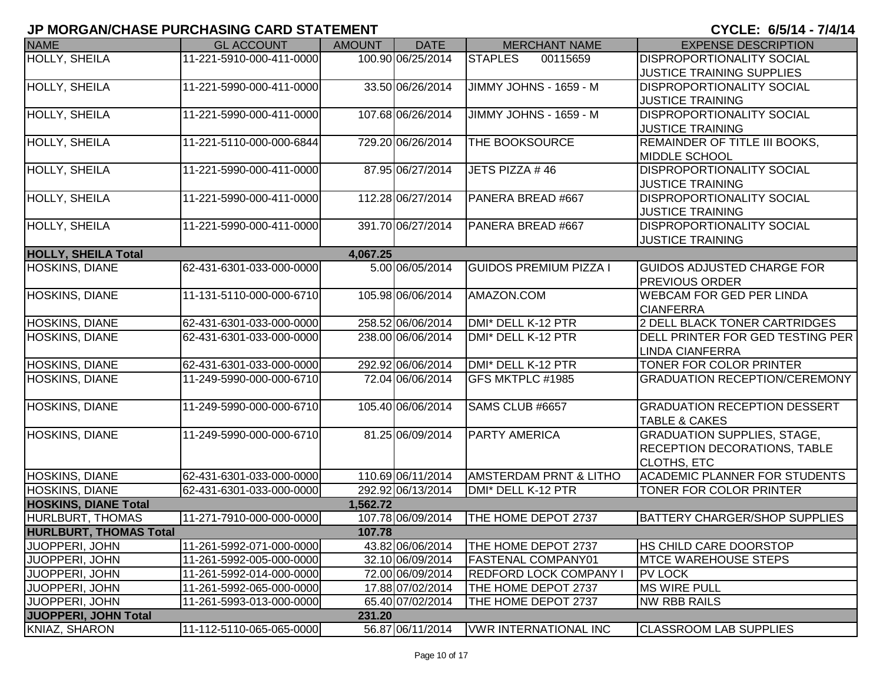| <b>NAME</b>                   | <b>GL ACCOUNT</b>        | <b>AMOUNT</b> | <b>DATE</b>       | <b>MERCHANT NAME</b>              | <b>EXPENSE DESCRIPTION</b>           |
|-------------------------------|--------------------------|---------------|-------------------|-----------------------------------|--------------------------------------|
| <b>HOLLY, SHEILA</b>          | 11-221-5910-000-411-0000 |               | 100.90 06/25/2014 | <b>STAPLES</b><br>00115659        | <b>DISPROPORTIONALITY SOCIAL</b>     |
|                               |                          |               |                   |                                   | JUSTICE TRAINING SUPPLIES            |
| <b>HOLLY, SHEILA</b>          | 11-221-5990-000-411-0000 |               | 33.50 06/26/2014  | JIMMY JOHNS - 1659 - M            | <b>DISPROPORTIONALITY SOCIAL</b>     |
|                               |                          |               |                   |                                   | <b>JUSTICE TRAINING</b>              |
| HOLLY, SHEILA                 | 11-221-5990-000-411-0000 |               | 107.68 06/26/2014 | JIMMY JOHNS - 1659 - M            | <b>DISPROPORTIONALITY SOCIAL</b>     |
|                               |                          |               |                   |                                   | <b>JUSTICE TRAINING</b>              |
| HOLLY, SHEILA                 | 11-221-5110-000-000-6844 |               | 729.20 06/26/2014 | THE BOOKSOURCE                    | REMAINDER OF TITLE III BOOKS,        |
|                               |                          |               |                   |                                   | <b>MIDDLE SCHOOL</b>                 |
| HOLLY, SHEILA                 | 11-221-5990-000-411-0000 |               | 87.95 06/27/2014  | JETS PIZZA #46                    | <b>DISPROPORTIONALITY SOCIAL</b>     |
|                               |                          |               |                   |                                   | <b>JUSTICE TRAINING</b>              |
| HOLLY, SHEILA                 | 11-221-5990-000-411-0000 |               | 112.28 06/27/2014 | PANERA BREAD #667                 | <b>DISPROPORTIONALITY SOCIAL</b>     |
|                               |                          |               |                   |                                   | <b>JUSTICE TRAINING</b>              |
| HOLLY, SHEILA                 | 11-221-5990-000-411-0000 |               | 391.70 06/27/2014 | PANERA BREAD #667                 | <b>DISPROPORTIONALITY SOCIAL</b>     |
|                               |                          |               |                   |                                   | <b>JUSTICE TRAINING</b>              |
| <b>HOLLY, SHEILA Total</b>    |                          | 4,067.25      |                   |                                   |                                      |
| <b>HOSKINS, DIANE</b>         | 62-431-6301-033-000-0000 |               | 5.00 06/05/2014   | <b>GUIDOS PREMIUM PIZZA I</b>     | <b>GUIDOS ADJUSTED CHARGE FOR</b>    |
|                               |                          |               |                   |                                   | <b>PREVIOUS ORDER</b>                |
| HOSKINS, DIANE                | 11-131-5110-000-000-6710 |               | 105.98 06/06/2014 | AMAZON.COM                        | <b>WEBCAM FOR GED PER LINDA</b>      |
|                               |                          |               |                   |                                   | <b>CIANFERRA</b>                     |
| HOSKINS, DIANE                | 62-431-6301-033-000-0000 |               | 258.52 06/06/2014 | DMI* DELL K-12 PTR                | 2 DELL BLACK TONER CARTRIDGES        |
| HOSKINS, DIANE                | 62-431-6301-033-000-0000 |               | 238.00 06/06/2014 | DMI* DELL K-12 PTR                | DELL PRINTER FOR GED TESTING PER     |
|                               |                          |               |                   |                                   | <b>LINDA CIANFERRA</b>               |
| <b>HOSKINS, DIANE</b>         | 62-431-6301-033-000-0000 |               | 292.92 06/06/2014 | DMI* DELL K-12 PTR                | TONER FOR COLOR PRINTER              |
| HOSKINS, DIANE                | 11-249-5990-000-000-6710 |               | 72.04 06/06/2014  | GFS MKTPLC #1985                  | <b>GRADUATION RECEPTION/CEREMONY</b> |
|                               |                          |               |                   |                                   |                                      |
| <b>HOSKINS, DIANE</b>         | 11-249-5990-000-000-6710 |               | 105.40 06/06/2014 | SAMS CLUB #6657                   | <b>GRADUATION RECEPTION DESSERT</b>  |
|                               |                          |               |                   |                                   | <b>TABLE &amp; CAKES</b>             |
| HOSKINS, DIANE                | 11-249-5990-000-000-6710 |               | 81.25 06/09/2014  | <b>PARTY AMERICA</b>              | <b>GRADUATION SUPPLIES, STAGE,</b>   |
|                               |                          |               |                   |                                   | <b>RECEPTION DECORATIONS, TABLE</b>  |
|                               |                          |               |                   |                                   | <b>CLOTHS, ETC</b>                   |
| HOSKINS, DIANE                | 62-431-6301-033-000-0000 |               | 110.69 06/11/2014 | <b>AMSTERDAM PRNT &amp; LITHO</b> | <b>ACADEMIC PLANNER FOR STUDENTS</b> |
| HOSKINS, DIANE                | 62-431-6301-033-000-0000 |               | 292.92 06/13/2014 | DMI* DELL K-12 PTR                | TONER FOR COLOR PRINTER              |
| <b>HOSKINS, DIANE Total</b>   |                          | 1,562.72      |                   |                                   |                                      |
| <b>HURLBURT, THOMAS</b>       | 11-271-7910-000-000-0000 |               | 107.78 06/09/2014 | THE HOME DEPOT 2737               | <b>BATTERY CHARGER/SHOP SUPPLIES</b> |
| <b>HURLBURT, THOMAS Total</b> |                          | 107.78        |                   |                                   |                                      |
| JUOPPERI, JOHN                | 11-261-5992-071-000-0000 |               | 43.82 06/06/2014  | THE HOME DEPOT 2737               | <b>IHS CHILD CARE DOORSTOP</b>       |
| <b>JUOPPERI, JOHN</b>         | 11-261-5992-005-000-0000 |               | 32.10 06/09/2014  | <b>FASTENAL COMPANY01</b>         | <b>IMTCE WAREHOUSE STEPS</b>         |
| JUOPPERI, JOHN                | 11-261-5992-014-000-0000 |               | 72.00 06/09/2014  | <b>REDFORD LOCK COMPANY I</b>     | <b>PV LOCK</b>                       |
| JUOPPERI, JOHN                | 11-261-5992-065-000-0000 |               | 17.88 07/02/2014  | THE HOME DEPOT 2737               | <b>MS WIRE PULL</b>                  |
| JUOPPERI, JOHN                | 11-261-5993-013-000-0000 |               | 65.40 07/02/2014  | THE HOME DEPOT 2737               | <b>NW RBB RAILS</b>                  |
| JUOPPERI, JOHN Total          |                          | 231.20        |                   |                                   |                                      |
| KNIAZ, SHARON                 | 11-112-5110-065-065-0000 |               | 56.87 06/11/2014  | <b>VWR INTERNATIONAL INC</b>      | <b>CLASSROOM LAB SUPPLIES</b>        |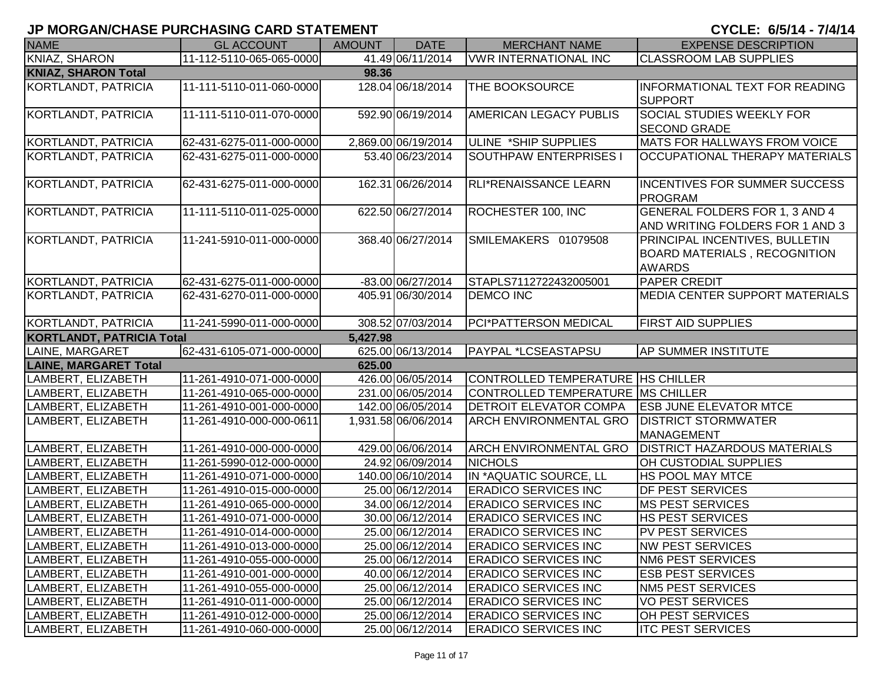| <b>NAME</b>                      | <b>GL ACCOUNT</b>        | <b>AMOUNT</b> | <b>DATE</b>         | <b>MERCHANT NAME</b>                | <b>EXPENSE DESCRIPTION</b>                                                                    |
|----------------------------------|--------------------------|---------------|---------------------|-------------------------------------|-----------------------------------------------------------------------------------------------|
| <b>KNIAZ, SHARON</b>             | 11-112-5110-065-065-0000 |               | 41.49 06/11/2014    | <b>VWR INTERNATIONAL INC</b>        | <b>CLASSROOM LAB SUPPLIES</b>                                                                 |
| <b>KNIAZ, SHARON Total</b>       |                          | 98.36         |                     |                                     |                                                                                               |
| KORTLANDT, PATRICIA              | 11-111-5110-011-060-0000 |               | 128.04 06/18/2014   | THE BOOKSOURCE                      | <b>INFORMATIONAL TEXT FOR READING</b><br><b>SUPPORT</b>                                       |
| KORTLANDT, PATRICIA              | 11-111-5110-011-070-0000 |               | 592.90 06/19/2014   | AMERICAN LEGACY PUBLIS              | SOCIAL STUDIES WEEKLY FOR<br><b>SECOND GRADE</b>                                              |
| KORTLANDT, PATRICIA              | 62-431-6275-011-000-0000 |               | 2,869.00 06/19/2014 | ULINE *SHIP SUPPLIES                | <b>MATS FOR HALLWAYS FROM VOICE</b>                                                           |
| KORTLANDT, PATRICIA              | 62-431-6275-011-000-0000 |               | 53.40 06/23/2014    | <b>SOUTHPAW ENTERPRISES I</b>       | <b>OCCUPATIONAL THERAPY MATERIALS</b>                                                         |
| KORTLANDT, PATRICIA              | 62-431-6275-011-000-0000 |               | 162.31 06/26/2014   | RLI*RENAISSANCE LEARN               | <b>INCENTIVES FOR SUMMER SUCCESS</b><br>PROGRAM                                               |
| KORTLANDT, PATRICIA              | 11-111-5110-011-025-0000 |               | 622.50 06/27/2014   | ROCHESTER 100, INC                  | GENERAL FOLDERS FOR 1, 3 AND 4<br>AND WRITING FOLDERS FOR 1 AND 3                             |
| KORTLANDT, PATRICIA              | 11-241-5910-011-000-0000 |               | 368.40 06/27/2014   | SMILEMAKERS 01079508                | <b>PRINCIPAL INCENTIVES, BULLETIN</b><br><b>BOARD MATERIALS, RECOGNITION</b><br><b>AWARDS</b> |
| KORTLANDT, PATRICIA              | 62-431-6275-011-000-0000 |               | -83.00 06/27/2014   | STAPLS7112722432005001              | <b>PAPER CREDIT</b>                                                                           |
| KORTLANDT, PATRICIA              | 62-431-6270-011-000-0000 |               | 405.91 06/30/2014   | <b>DEMCO INC</b>                    | <b>MEDIA CENTER SUPPORT MATERIALS</b>                                                         |
| KORTLANDT, PATRICIA              | 11-241-5990-011-000-0000 |               | 308.52 07/03/2014   | PCI*PATTERSON MEDICAL               | <b>FIRST AID SUPPLIES</b>                                                                     |
| <b>KORTLANDT, PATRICIA Total</b> |                          | 5,427.98      |                     |                                     |                                                                                               |
| LAINE, MARGARET                  | 62-431-6105-071-000-0000 |               | 625.00 06/13/2014   | PAYPAL *LCSEASTAPSU                 | <b>AP SUMMER INSTITUTE</b>                                                                    |
| <b>LAINE, MARGARET Total</b>     |                          | 625.00        |                     |                                     |                                                                                               |
| LAMBERT, ELIZABETH               | 11-261-4910-071-000-0000 |               | 426.00 06/05/2014   | CONTROLLED TEMPERATURE   HS CHILLER |                                                                                               |
| LAMBERT, ELIZABETH               | 11-261-4910-065-000-0000 |               | 231.00 06/05/2014   | CONTROLLED TEMPERATURE MS CHILLER   |                                                                                               |
| LAMBERT, ELIZABETH               | 11-261-4910-001-000-0000 |               | 142.00 06/05/2014   | DETROIT ELEVATOR COMPA              | <b>ESB JUNE ELEVATOR MTCE</b>                                                                 |
| LAMBERT, ELIZABETH               | 11-261-4910-000-000-0611 |               | 1,931.58 06/06/2014 | <b>ARCH ENVIRONMENTAL GRO</b>       | <b>DISTRICT STORMWATER</b><br><b>MANAGEMENT</b>                                               |
| LAMBERT, ELIZABETH               | 11-261-4910-000-000-0000 |               | 429.00 06/06/2014   | <b>ARCH ENVIRONMENTAL GRO</b>       | <b>DISTRICT HAZARDOUS MATERIALS</b>                                                           |
| LAMBERT, ELIZABETH               | 11-261-5990-012-000-0000 |               | 24.92 06/09/2014    | <b>NICHOLS</b>                      | OH CUSTODIAL SUPPLIES                                                                         |
| LAMBERT, ELIZABETH               | 11-261-4910-071-000-0000 |               | 140.00 06/10/2014   | IN *AQUATIC SOURCE, LL              | <b>HS POOL MAY MTCE</b>                                                                       |
| LAMBERT, ELIZABETH               | 11-261-4910-015-000-0000 |               | 25.00 06/12/2014    | <b>ERADICO SERVICES INC</b>         | <b>DF PEST SERVICES</b>                                                                       |
| LAMBERT, ELIZABETH               | 11-261-4910-065-000-0000 |               | 34.00 06/12/2014    | <b>ERADICO SERVICES INC</b>         | <b>MS PEST SERVICES</b>                                                                       |
| LAMBERT, ELIZABETH               | 11-261-4910-071-000-0000 |               | 30.00 06/12/2014    | <b>ERADICO SERVICES INC</b>         | HS PEST SERVICES                                                                              |
| LAMBERT, ELIZABETH               | 11-261-4910-014-000-0000 |               | 25.00 06/12/2014    | <b>ERADICO SERVICES INC</b>         | <b>PV PEST SERVICES</b>                                                                       |
| LAMBERT, ELIZABETH               | 11-261-4910-013-000-0000 |               | 25.00 06/12/2014    | <b>ERADICO SERVICES INC</b>         | <b>NW PEST SERVICES</b>                                                                       |
| LAMBERT, ELIZABETH               | 11-261-4910-055-000-0000 |               | 25.00 06/12/2014    | <b>ERADICO SERVICES INC</b>         | <b>NM6 PEST SERVICES</b>                                                                      |
| LAMBERT, ELIZABETH               | 11-261-4910-001-000-0000 |               | 40.00 06/12/2014    | <b>ERADICO SERVICES INC</b>         | <b>ESB PEST SERVICES</b>                                                                      |
| LAMBERT, ELIZABETH               | 11-261-4910-055-000-0000 |               | 25.00 06/12/2014    | <b>ERADICO SERVICES INC</b>         | <b>NM5 PEST SERVICES</b>                                                                      |
| LAMBERT, ELIZABETH               | 11-261-4910-011-000-0000 |               | 25.00 06/12/2014    | <b>ERADICO SERVICES INC</b>         | <b>VO PEST SERVICES</b>                                                                       |
| LAMBERT, ELIZABETH               | 11-261-4910-012-000-0000 |               | 25.00 06/12/2014    | <b>ERADICO SERVICES INC</b>         | <b>OH PEST SERVICES</b>                                                                       |
| LAMBERT, ELIZABETH               | 11-261-4910-060-000-0000 |               | 25.00 06/12/2014    | <b>ERADICO SERVICES INC</b>         | <b>ITC PEST SERVICES</b>                                                                      |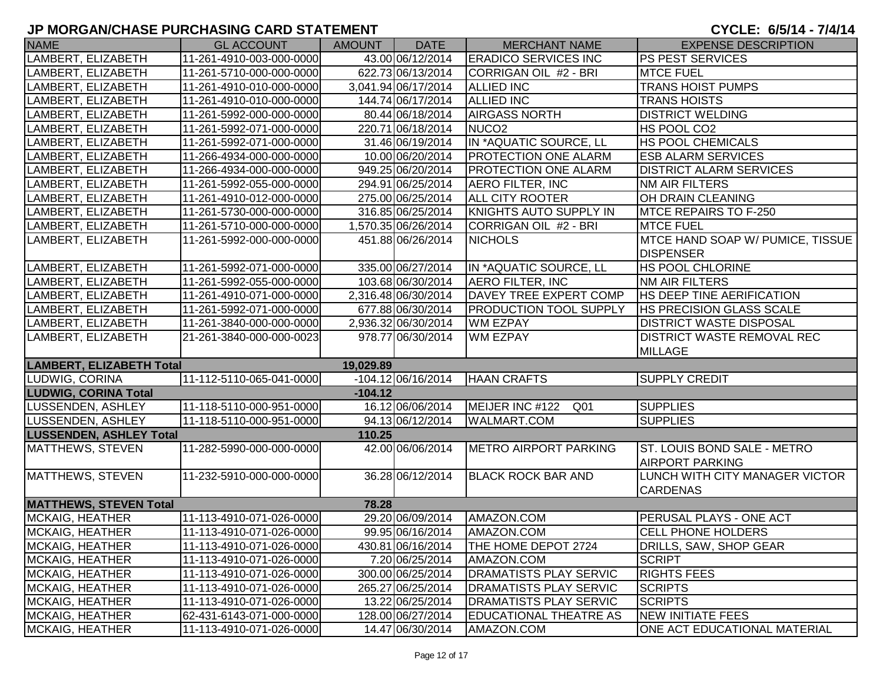| <b>NAME</b>                     | <b>GL ACCOUNT</b>        | AMOUNT    | <b>DATE</b>          | <b>MERCHANT NAME</b>          | <b>EXPENSE DESCRIPTION</b>                            |
|---------------------------------|--------------------------|-----------|----------------------|-------------------------------|-------------------------------------------------------|
| LAMBERT, ELIZABETH              | 11-261-4910-003-000-0000 |           | 43.00 06/12/2014     | <b>ERADICO SERVICES INC</b>   | <b>PS PEST SERVICES</b>                               |
| LAMBERT, ELIZABETH              | 11-261-5710-000-000-0000 |           | 622.73 06/13/2014    | CORRIGAN OIL #2 - BRI         | <b>MTCE FUEL</b>                                      |
| LAMBERT, ELIZABETH              | 11-261-4910-010-000-0000 |           | 3,041.94 06/17/2014  | <b>ALLIED INC</b>             | <b>TRANS HOIST PUMPS</b>                              |
| LAMBERT, ELIZABETH              | 11-261-4910-010-000-0000 |           | 144.74 06/17/2014    | <b>ALLIED INC</b>             | <b>TRANS HOISTS</b>                                   |
| LAMBERT, ELIZABETH              | 11-261-5992-000-000-0000 |           | 80.44 06/18/2014     | <b>AIRGASS NORTH</b>          | <b>DISTRICT WELDING</b>                               |
| LAMBERT, ELIZABETH              | 11-261-5992-071-000-0000 |           | 220.71 06/18/2014    | NUCO <sub>2</sub>             | HS POOL CO2                                           |
| LAMBERT, ELIZABETH              | 11-261-5992-071-000-0000 |           | 31.46 06/19/2014     | IN *AQUATIC SOURCE, LL        | <b>HS POOL CHEMICALS</b>                              |
| LAMBERT, ELIZABETH              | 11-266-4934-000-000-0000 |           | 10.00 06/20/2014     | <b>PROTECTION ONE ALARM</b>   | <b>ESB ALARM SERVICES</b>                             |
| LAMBERT, ELIZABETH              | 11-266-4934-000-000-0000 |           | 949.25 06/20/2014    | <b>PROTECTION ONE ALARM</b>   | <b>DISTRICT ALARM SERVICES</b>                        |
| LAMBERT, ELIZABETH              | 11-261-5992-055-000-0000 |           | 294.91 06/25/2014    | <b>AERO FILTER, INC</b>       | <b>NM AIR FILTERS</b>                                 |
| LAMBERT, ELIZABETH              | 11-261-4910-012-000-0000 |           | 275.00 06/25/2014    | <b>ALL CITY ROOTER</b>        | OH DRAIN CLEANING                                     |
| LAMBERT, ELIZABETH              | 11-261-5730-000-000-0000 |           | 316.85 06/25/2014    | KNIGHTS AUTO SUPPLY IN        | MTCE REPAIRS TO F-250                                 |
| LAMBERT, ELIZABETH              | 11-261-5710-000-000-0000 |           | 1,570.35 06/26/2014  | CORRIGAN OIL #2 - BRI         | <b>MTCE FUEL</b>                                      |
| LAMBERT, ELIZABETH              | 11-261-5992-000-000-0000 |           | 451.88 06/26/2014    | <b>NICHOLS</b>                | MTCE HAND SOAP W/ PUMICE, TISSUE<br><b>DISPENSER</b>  |
| LAMBERT, ELIZABETH              | 11-261-5992-071-000-0000 |           | 335.00 06/27/2014    | IN *AQUATIC SOURCE, LL        | <b>HS POOL CHLORINE</b>                               |
| LAMBERT, ELIZABETH              | 11-261-5992-055-000-0000 |           | 103.68 06/30/2014    | <b>AERO FILTER, INC</b>       | NM AIR FILTERS                                        |
| LAMBERT, ELIZABETH              | 11-261-4910-071-000-0000 |           | 2,316.48 06/30/2014  | DAVEY TREE EXPERT COMP        | <b>HS DEEP TINE AERIFICATION</b>                      |
| LAMBERT, ELIZABETH              | 11-261-5992-071-000-0000 |           | 677.88 06/30/2014    | <b>PRODUCTION TOOL SUPPLY</b> | <b>HS PRECISION GLASS SCALE</b>                       |
| LAMBERT, ELIZABETH              | 11-261-3840-000-000-0000 |           | 2,936.32 06/30/2014  | <b>WM EZPAY</b>               | <b>DISTRICT WASTE DISPOSAL</b>                        |
| LAMBERT, ELIZABETH              | 21-261-3840-000-000-0023 |           | 978.77 06/30/2014    | <b>WM EZPAY</b>               | DISTRICT WASTE REMOVAL REC<br><b>MILLAGE</b>          |
| <b>LAMBERT, ELIZABETH Total</b> |                          | 19,029.89 |                      |                               |                                                       |
| LUDWIG, CORINA                  | 11-112-5110-065-041-0000 |           | $-104.12 06/16/2014$ | <b>HAAN CRAFTS</b>            | <b>SUPPLY CREDIT</b>                                  |
| <b>LUDWIG, CORINA Total</b>     |                          | $-104.12$ |                      |                               |                                                       |
| <b>LUSSENDEN, ASHLEY</b>        | 11-118-5110-000-951-0000 |           | 16.12 06/06/2014     | MEIJER INC #122<br>Q01        | <b>SUPPLIES</b>                                       |
| LUSSENDEN, ASHLEY               | 11-118-5110-000-951-0000 |           | 94.13 06/12/2014     | <b>WALMART.COM</b>            | <b>SUPPLIES</b>                                       |
| <b>LUSSENDEN, ASHLEY Total</b>  |                          | 110.25    |                      |                               |                                                       |
| MATTHEWS, STEVEN                | 11-282-5990-000-000-0000 |           | 42.00 06/06/2014     | <b>METRO AIRPORT PARKING</b>  | ST. LOUIS BOND SALE - METRO<br><b>AIRPORT PARKING</b> |
| MATTHEWS, STEVEN                | 11-232-5910-000-000-0000 |           | 36.28 06/12/2014     | <b>BLACK ROCK BAR AND</b>     | LUNCH WITH CITY MANAGER VICTOR<br><b>CARDENAS</b>     |
| <b>MATTHEWS, STEVEN Total</b>   |                          | 78.28     |                      |                               |                                                       |
| <b>MCKAIG, HEATHER</b>          | 11-113-4910-071-026-0000 |           | 29.20 06/09/2014     | AMAZON.COM                    | PERUSAL PLAYS - ONE ACT                               |
| <b>MCKAIG, HEATHER</b>          | 11-113-4910-071-026-0000 |           | 99.95 06/16/2014     | AMAZON.COM                    | <b>CELL PHONE HOLDERS</b>                             |
| <b>MCKAIG, HEATHER</b>          | 11-113-4910-071-026-0000 |           | 430.81 06/16/2014    | THE HOME DEPOT 2724           | DRILLS, SAW, SHOP GEAR                                |
| MCKAIG, HEATHER                 | 11-113-4910-071-026-0000 |           | 7.20 06/25/2014      | AMAZON.COM                    | <b>SCRIPT</b>                                         |
| MCKAIG, HEATHER                 | 11-113-4910-071-026-0000 |           | 300.00 06/25/2014    | <b>DRAMATISTS PLAY SERVIC</b> | <b>RIGHTS FEES</b>                                    |
| MCKAIG, HEATHER                 | 11-113-4910-071-026-0000 |           | 265.27 06/25/2014    | <b>DRAMATISTS PLAY SERVIC</b> | <b>SCRIPTS</b>                                        |
| <b>MCKAIG, HEATHER</b>          | 11-113-4910-071-026-0000 |           | 13.22 06/25/2014     | <b>DRAMATISTS PLAY SERVIC</b> | <b>SCRIPTS</b>                                        |
| MCKAIG, HEATHER                 | 62-431-6143-071-000-0000 |           | 128.00 06/27/2014    | <b>EDUCATIONAL THEATRE AS</b> | <b>NEW INITIATE FEES</b>                              |
| MCKAIG, HEATHER                 | 11-113-4910-071-026-0000 |           | 14.47 06/30/2014     | AMAZON.COM                    | ONE ACT EDUCATIONAL MATERIAL                          |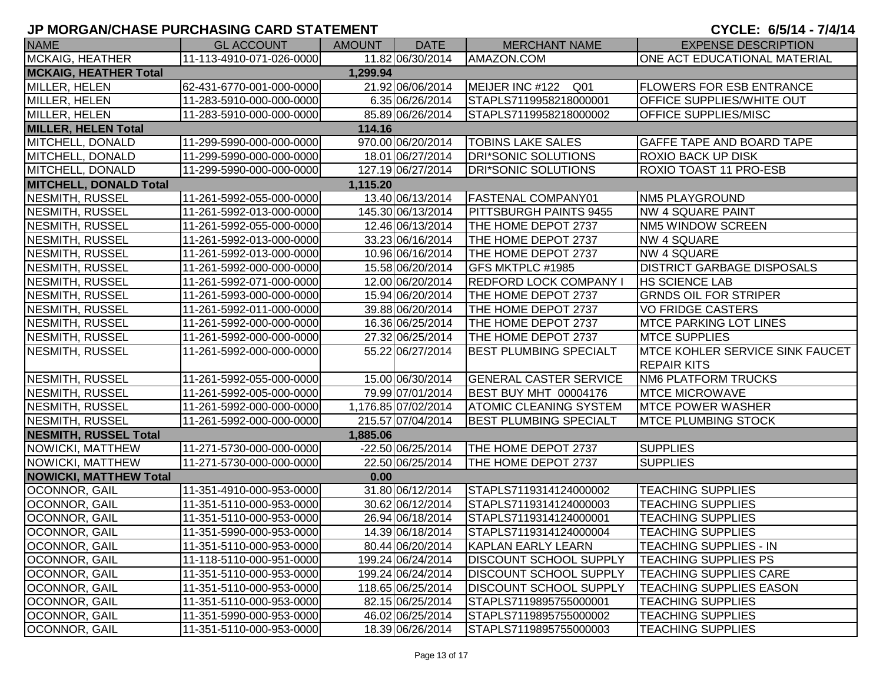| <b>NAME</b>                   | <b>GL ACCOUNT</b>        | <b>AMOUNT</b> | <b>DATE</b>         | <b>MERCHANT NAME</b>          | <b>EXPENSE DESCRIPTION</b>                            |
|-------------------------------|--------------------------|---------------|---------------------|-------------------------------|-------------------------------------------------------|
| <b>MCKAIG, HEATHER</b>        | 11-113-4910-071-026-0000 |               | 11.82 06/30/2014    | AMAZON.COM                    | ONE ACT EDUCATIONAL MATERIAL                          |
| <b>MCKAIG, HEATHER Total</b>  |                          | 1,299.94      |                     |                               |                                                       |
| MILLER, HELEN                 | 62-431-6770-001-000-0000 |               | 21.92 06/06/2014    | MEIJER INC #122 Q01           | <b>FLOWERS FOR ESB ENTRANCE</b>                       |
| MILLER, HELEN                 | 11-283-5910-000-000-0000 |               | 6.35 06/26/2014     | STAPLS7119958218000001        | OFFICE SUPPLIES/WHITE OUT                             |
| MILLER, HELEN                 | 11-283-5910-000-000-0000 |               | 85.89 06/26/2014    | STAPLS7119958218000002        | OFFICE SUPPLIES/MISC                                  |
| <b>MILLER, HELEN Total</b>    |                          | 114.16        |                     |                               |                                                       |
| MITCHELL, DONALD              | 11-299-5990-000-000-0000 |               | 970.00 06/20/2014   | <b>TOBINS LAKE SALES</b>      | GAFFE TAPE AND BOARD TAPE                             |
| MITCHELL, DONALD              | 11-299-5990-000-000-0000 |               | 18.01 06/27/2014    | DRI*SONIC SOLUTIONS           | <b>ROXIO BACK UP DISK</b>                             |
| MITCHELL, DONALD              | 11-299-5990-000-000-0000 |               | 127.19 06/27/2014   | <b>DRI*SONIC SOLUTIONS</b>    | ROXIO TOAST 11 PRO-ESB                                |
| <b>MITCHELL, DONALD Total</b> |                          | 1,115.20      |                     |                               |                                                       |
| <b>NESMITH, RUSSEL</b>        | 11-261-5992-055-000-0000 |               | 13.40 06/13/2014    | <b>FASTENAL COMPANY01</b>     | <b>NM5 PLAYGROUND</b>                                 |
| <b>NESMITH, RUSSEL</b>        | 11-261-5992-013-000-0000 |               | 145.30 06/13/2014   | <b>PITTSBURGH PAINTS 9455</b> | <b>NW 4 SQUARE PAINT</b>                              |
| <b>NESMITH, RUSSEL</b>        | 11-261-5992-055-000-0000 |               | 12.46 06/13/2014    | THE HOME DEPOT 2737           | NM5 WINDOW SCREEN                                     |
| NESMITH, RUSSEL               | 11-261-5992-013-000-0000 |               | 33.23 06/16/2014    | THE HOME DEPOT 2737           | <b>NW 4 SQUARE</b>                                    |
| NESMITH, RUSSEL               | 11-261-5992-013-000-0000 |               | 10.96 06/16/2014    | THE HOME DEPOT 2737           | <b>NW 4 SQUARE</b>                                    |
| NESMITH, RUSSEL               | 11-261-5992-000-000-0000 |               | 15.58 06/20/2014    | GFS MKTPLC #1985              | <b>DISTRICT GARBAGE DISPOSALS</b>                     |
| NESMITH, RUSSEL               | 11-261-5992-071-000-0000 |               | 12.00 06/20/2014    | <b>REDFORD LOCK COMPANY I</b> | <b>HS SCIENCE LAB</b>                                 |
| NESMITH, RUSSEL               | 11-261-5993-000-000-0000 |               | 15.94 06/20/2014    | THE HOME DEPOT 2737           | <b>GRNDS OIL FOR STRIPER</b>                          |
| NESMITH, RUSSEL               | 11-261-5992-011-000-0000 |               | 39.88 06/20/2014    | THE HOME DEPOT 2737           | <b>VO FRIDGE CASTERS</b>                              |
| <b>NESMITH, RUSSEL</b>        | 11-261-5992-000-000-0000 |               | 16.36 06/25/2014    | THE HOME DEPOT 2737           | <b>MTCE PARKING LOT LINES</b>                         |
| <b>NESMITH, RUSSEL</b>        | 11-261-5992-000-000-0000 |               | 27.32 06/25/2014    | THE HOME DEPOT 2737           | <b>MTCE SUPPLIES</b>                                  |
| <b>NESMITH, RUSSEL</b>        | 11-261-5992-000-000-0000 |               | 55.22 06/27/2014    | <b>BEST PLUMBING SPECIALT</b> | MTCE KOHLER SERVICE SINK FAUCET<br><b>REPAIR KITS</b> |
| <b>NESMITH, RUSSEL</b>        | 11-261-5992-055-000-0000 |               | 15.00 06/30/2014    | <b>GENERAL CASTER SERVICE</b> | <b>NM6 PLATFORM TRUCKS</b>                            |
| <b>NESMITH, RUSSEL</b>        | 11-261-5992-005-000-0000 |               | 79.99 07/01/2014    | BEST BUY MHT 00004176         | <b>MTCE MICROWAVE</b>                                 |
| <b>NESMITH, RUSSEL</b>        | 11-261-5992-000-000-0000 |               | 1,176.85 07/02/2014 | <b>ATOMIC CLEANING SYSTEM</b> | <b>MTCE POWER WASHER</b>                              |
| NESMITH, RUSSEL               | 11-261-5992-000-000-0000 |               | 215.57 07/04/2014   | <b>BEST PLUMBING SPECIALT</b> | <b>MTCE PLUMBING STOCK</b>                            |
| <b>NESMITH, RUSSEL Total</b>  |                          | 1,885.06      |                     |                               |                                                       |
| NOWICKI, MATTHEW              | 11-271-5730-000-000-0000 |               | -22.50 06/25/2014   | THE HOME DEPOT 2737           | <b>SUPPLIES</b>                                       |
| NOWICKI, MATTHEW              | 11-271-5730-000-000-0000 |               | 22.50 06/25/2014    | THE HOME DEPOT 2737           | <b>SUPPLIES</b>                                       |
| <b>NOWICKI, MATTHEW Total</b> |                          | 0.00          |                     |                               |                                                       |
| OCONNOR, GAIL                 | 11-351-4910-000-953-0000 |               | 31.80 06/12/2014    | STAPLS7119314124000002        | <b>TEACHING SUPPLIES</b>                              |
| OCONNOR, GAIL                 | 11-351-5110-000-953-0000 |               | 30.62 06/12/2014    | STAPLS7119314124000003        | <b>TEACHING SUPPLIES</b>                              |
| OCONNOR, GAIL                 | 11-351-5110-000-953-0000 |               | 26.94 06/18/2014    | STAPLS7119314124000001        | <b>TEACHING SUPPLIES</b>                              |
| OCONNOR, GAIL                 | 11-351-5990-000-953-0000 |               | 14.39 06/18/2014    | STAPLS7119314124000004        | <b>TEACHING SUPPLIES</b>                              |
| OCONNOR, GAIL                 | 11-351-5110-000-953-0000 |               | 80.44 06/20/2014    | <b>KAPLAN EARLY LEARN</b>     | TEACHING SUPPLIES - IN                                |
| OCONNOR, GAIL                 | 11-118-5110-000-951-0000 |               | 199.24 06/24/2014   | <b>DISCOUNT SCHOOL SUPPLY</b> | <b>TEACHING SUPPLIES PS</b>                           |
| OCONNOR, GAIL                 | 11-351-5110-000-953-0000 |               | 199.24 06/24/2014   | <b>DISCOUNT SCHOOL SUPPLY</b> | <b>TEACHING SUPPLIES CARE</b>                         |
| OCONNOR, GAIL                 | 11-351-5110-000-953-0000 |               | 118.65 06/25/2014   | <b>DISCOUNT SCHOOL SUPPLY</b> | <b>TEACHING SUPPLIES EASON</b>                        |
| OCONNOR, GAIL                 | 11-351-5110-000-953-0000 |               | 82.15 06/25/2014    | STAPLS7119895755000001        | <b>TEACHING SUPPLIES</b>                              |
| OCONNOR, GAIL                 | 11-351-5990-000-953-0000 |               | 46.02 06/25/2014    | STAPLS7119895755000002        | <b>TEACHING SUPPLIES</b>                              |
| OCONNOR, GAIL                 | 11-351-5110-000-953-0000 |               | 18.39 06/26/2014    | STAPLS7119895755000003        | <b>TEACHING SUPPLIES</b>                              |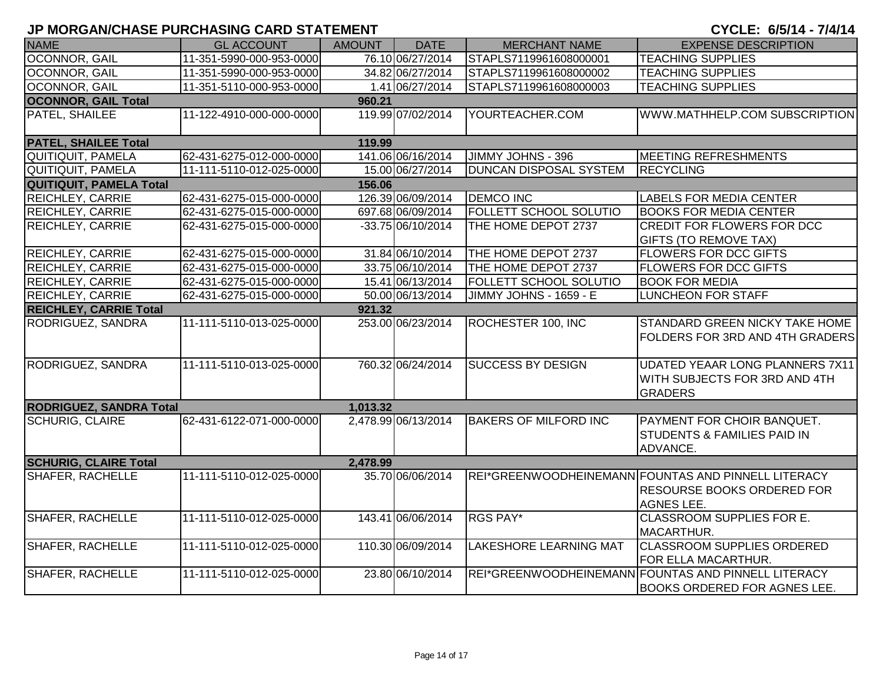| <b>NAME</b>                              | <b>GL ACCOUNT</b>        | <b>AMOUNT</b> | <b>DATE</b>         | <b>MERCHANT NAME</b>          | <b>EXPENSE DESCRIPTION</b>                                                                                    |  |
|------------------------------------------|--------------------------|---------------|---------------------|-------------------------------|---------------------------------------------------------------------------------------------------------------|--|
| OCONNOR, GAIL                            | 11-351-5990-000-953-0000 |               | 76.10 06/27/2014    | STAPLS7119961608000001        | <b>TEACHING SUPPLIES</b>                                                                                      |  |
| OCONNOR, GAIL                            | 11-351-5990-000-953-0000 |               | 34.82 06/27/2014    | STAPLS7119961608000002        | <b>TEACHING SUPPLIES</b>                                                                                      |  |
| <b>OCONNOR, GAIL</b>                     | 11-351-5110-000-953-0000 |               | 1.41 06/27/2014     | STAPLS7119961608000003        | <b>TEACHING SUPPLIES</b>                                                                                      |  |
| <b>OCONNOR, GAIL Total</b>               |                          | 960.21        |                     |                               |                                                                                                               |  |
| PATEL, SHAILEE                           | 11-122-4910-000-000-0000 |               | 119.99 07/02/2014   | YOURTEACHER.COM               | WWW.MATHHELP.COM SUBSCRIPTION                                                                                 |  |
| <b>PATEL, SHAILEE Total</b>              |                          | 119.99        |                     |                               |                                                                                                               |  |
| QUITIQUIT, PAMELA                        | 62-431-6275-012-000-0000 |               | 141.06 06/16/2014   | JIMMY JOHNS - 396             | MEETING REFRESHMENTS                                                                                          |  |
| QUITIQUIT, PAMELA                        | 11-111-5110-012-025-0000 |               | 15.00 06/27/2014    | <b>DUNCAN DISPOSAL SYSTEM</b> | <b>RECYCLING</b>                                                                                              |  |
| <b>QUITIQUIT, PAMELA Total</b>           |                          | 156.06        |                     |                               |                                                                                                               |  |
| <b>REICHLEY, CARRIE</b>                  | 62-431-6275-015-000-0000 |               | 126.39 06/09/2014   | <b>DEMCO INC</b>              | <b>LABELS FOR MEDIA CENTER</b>                                                                                |  |
| <b>REICHLEY, CARRIE</b>                  | 62-431-6275-015-000-0000 |               | 697.68 06/09/2014   | <b>FOLLETT SCHOOL SOLUTIO</b> | <b>BOOKS FOR MEDIA CENTER</b>                                                                                 |  |
| <b>REICHLEY, CARRIE</b>                  | 62-431-6275-015-000-0000 |               | -33.75 06/10/2014   | THE HOME DEPOT 2737           | <b>CREDIT FOR FLOWERS FOR DCC</b><br><b>GIFTS (TO REMOVE TAX)</b>                                             |  |
| <b>REICHLEY, CARRIE</b>                  | 62-431-6275-015-000-0000 |               | 31.84 06/10/2014    | THE HOME DEPOT 2737           | <b>FLOWERS FOR DCC GIFTS</b>                                                                                  |  |
| REICHLEY, CARRIE                         | 62-431-6275-015-000-0000 |               | 33.75 06/10/2014    | THE HOME DEPOT 2737           | <b>FLOWERS FOR DCC GIFTS</b>                                                                                  |  |
| REICHLEY, CARRIE                         | 62-431-6275-015-000-0000 |               | 15.41 06/13/2014    | <b>FOLLETT SCHOOL SOLUTIO</b> | <b>BOOK FOR MEDIA</b>                                                                                         |  |
| <b>REICHLEY, CARRIE</b>                  | 62-431-6275-015-000-0000 |               | 50.00 06/13/2014    | JIMMY JOHNS - 1659 - E        | <b>LUNCHEON FOR STAFF</b>                                                                                     |  |
| <b>REICHLEY, CARRIE Total</b>            |                          | 921.32        |                     |                               |                                                                                                               |  |
| RODRIGUEZ, SANDRA                        | 11-111-5110-013-025-0000 |               | 253.00 06/23/2014   | ROCHESTER 100, INC            | <b>STANDARD GREEN NICKY TAKE HOME</b><br><b>FOLDERS FOR 3RD AND 4TH GRADERS</b>                               |  |
| RODRIGUEZ, SANDRA                        | 11-111-5110-013-025-0000 |               | 760.32 06/24/2014   | <b>SUCCESS BY DESIGN</b>      | <b>UDATED YEAAR LONG PLANNERS 7X11</b><br>WITH SUBJECTS FOR 3RD AND 4TH<br><b>GRADERS</b>                     |  |
| <b>RODRIGUEZ, SANDRA Total</b>           |                          | 1,013.32      |                     |                               |                                                                                                               |  |
| <b>SCHURIG, CLAIRE</b>                   | 62-431-6122-071-000-0000 |               | 2,478.99 06/13/2014 | <b>BAKERS OF MILFORD INC</b>  | PAYMENT FOR CHOIR BANQUET.<br><b>STUDENTS &amp; FAMILIES PAID IN</b><br>ADVANCE.                              |  |
| <b>SCHURIG, CLAIRE Total</b><br>2,478.99 |                          |               |                     |                               |                                                                                                               |  |
| <b>SHAFER, RACHELLE</b>                  | 11-111-5110-012-025-0000 |               | 35.70 06/06/2014    |                               | REI*GREENWOODHEINEMANN FOUNTAS AND PINNELL LITERACY<br><b>RESOURSE BOOKS ORDERED FOR</b><br><b>AGNES LEE.</b> |  |
| <b>SHAFER, RACHELLE</b>                  | 11-111-5110-012-025-0000 |               | 143.41 06/06/2014   | RGS PAY*                      | <b>CLASSROOM SUPPLIES FOR E.</b><br>MACARTHUR.                                                                |  |
| <b>SHAFER, RACHELLE</b>                  | 11-111-5110-012-025-0000 |               | 110.30 06/09/2014   | <b>LAKESHORE LEARNING MAT</b> | <b>CLASSROOM SUPPLIES ORDERED</b><br>FOR ELLA MACARTHUR.                                                      |  |
| <b>SHAFER, RACHELLE</b>                  | 11-111-5110-012-025-0000 |               | 23.80 06/10/2014    |                               | REI*GREENWOODHEINEMANN FOUNTAS AND PINNELL LITERACY<br><b>BOOKS ORDERED FOR AGNES LEE.</b>                    |  |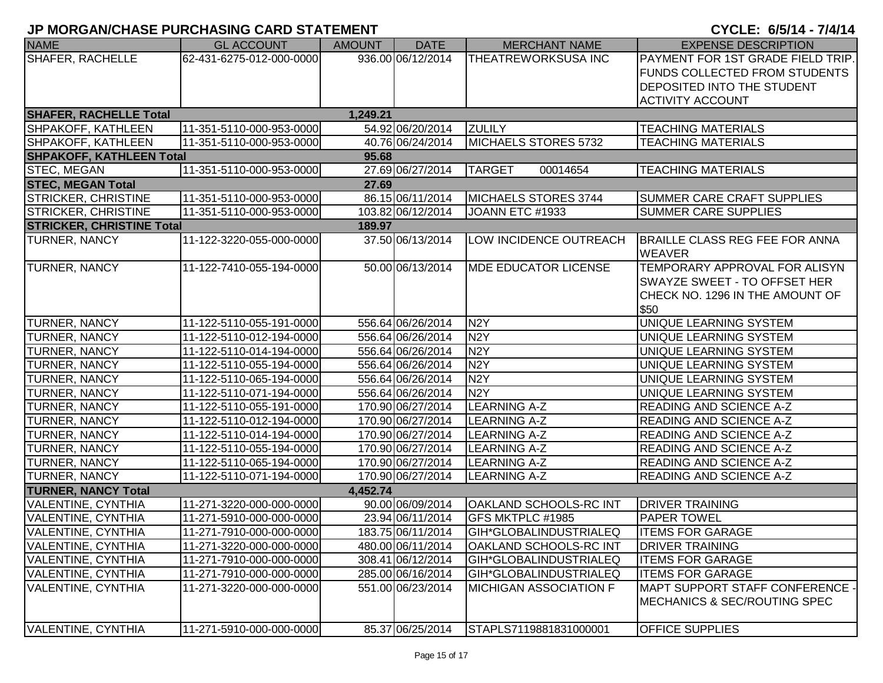| <b>NAME</b>                            | <b>GL ACCOUNT</b>        | <b>AMOUNT</b> | <b>DATE</b>       | <b>MERCHANT NAME</b>          | <b>EXPENSE DESCRIPTION</b>                      |  |
|----------------------------------------|--------------------------|---------------|-------------------|-------------------------------|-------------------------------------------------|--|
| <b>SHAFER, RACHELLE</b>                | 62-431-6275-012-000-0000 |               | 936.00 06/12/2014 | <b>THEATREWORKSUSA INC</b>    | PAYMENT FOR 1ST GRADE FIELD TRIP.               |  |
|                                        |                          |               |                   |                               | <b>FUNDS COLLECTED FROM STUDENTS</b>            |  |
|                                        |                          |               |                   |                               | DEPOSITED INTO THE STUDENT                      |  |
|                                        |                          |               |                   |                               | <b>ACTIVITY ACCOUNT</b>                         |  |
| <b>SHAFER, RACHELLE Total</b>          |                          | 1,249.21      |                   |                               |                                                 |  |
| SHPAKOFF, KATHLEEN                     | 11-351-5110-000-953-0000 |               | 54.92 06/20/2014  | <b>ZULILY</b>                 | <b>TEACHING MATERIALS</b>                       |  |
| SHPAKOFF, KATHLEEN                     | 11-351-5110-000-953-0000 |               | 40.76 06/24/2014  | MICHAELS STORES 5732          | <b>TEACHING MATERIALS</b>                       |  |
| <b>SHPAKOFF, KATHLEEN Total</b>        |                          | 95.68         |                   |                               |                                                 |  |
| <b>STEC, MEGAN</b>                     | 11-351-5110-000-953-0000 |               | 27.69 06/27/2014  | <b>TARGET</b><br>00014654     | <b>TEACHING MATERIALS</b>                       |  |
| <b>STEC, MEGAN Total</b>               |                          | 27.69         |                   |                               |                                                 |  |
| <b>STRICKER, CHRISTINE</b>             | 11-351-5110-000-953-0000 |               | 86.15 06/11/2014  | MICHAELS STORES 3744          | <b>SUMMER CARE CRAFT SUPPLIES</b>               |  |
| <b>STRICKER, CHRISTINE</b>             | 11-351-5110-000-953-0000 |               | 103.82 06/12/2014 | JOANN ETC #1933               | <b>SUMMER CARE SUPPLIES</b>                     |  |
| <b>STRICKER, CHRISTINE Total</b>       |                          | 189.97        |                   |                               |                                                 |  |
| TURNER, NANCY                          | 11-122-3220-055-000-0000 |               | 37.50 06/13/2014  | LOW INCIDENCE OUTREACH        | BRAILLE CLASS REG FEE FOR ANNA<br><b>WEAVER</b> |  |
| <b>TURNER, NANCY</b>                   | 11-122-7410-055-194-0000 |               | 50.00 06/13/2014  | <b>MDE EDUCATOR LICENSE</b>   | TEMPORARY APPROVAL FOR ALISYN                   |  |
|                                        |                          |               |                   |                               | <b>SWAYZE SWEET - TO OFFSET HER</b>             |  |
|                                        |                          |               |                   |                               | CHECK NO. 1296 IN THE AMOUNT OF                 |  |
|                                        |                          |               |                   |                               | \$50                                            |  |
| TURNER, NANCY                          | 11-122-5110-055-191-0000 |               | 556.64 06/26/2014 | N <sub>2</sub> Y              | UNIQUE LEARNING SYSTEM                          |  |
| <b>TURNER, NANCY</b>                   | 11-122-5110-012-194-0000 |               | 556.64 06/26/2014 | N <sub>2</sub> Y              | UNIQUE LEARNING SYSTEM                          |  |
| TURNER, NANCY                          | 11-122-5110-014-194-0000 |               | 556.64 06/26/2014 | N <sub>2</sub> Y              | UNIQUE LEARNING SYSTEM                          |  |
| <b>TURNER, NANCY</b>                   | 11-122-5110-055-194-0000 |               | 556.64 06/26/2014 | N <sub>2</sub> Y              | UNIQUE LEARNING SYSTEM                          |  |
| <b>TURNER, NANCY</b>                   | 11-122-5110-065-194-0000 |               | 556.64 06/26/2014 | N <sub>2</sub> Y              | UNIQUE LEARNING SYSTEM                          |  |
| TURNER, NANCY                          | 11-122-5110-071-194-0000 |               | 556.64 06/26/2014 | N <sub>2</sub> Y              | UNIQUE LEARNING SYSTEM                          |  |
| TURNER, NANCY                          | 11-122-5110-055-191-0000 |               | 170.90 06/27/2014 | <b>LEARNING A-Z</b>           | <b>READING AND SCIENCE A-Z</b>                  |  |
| TURNER, NANCY                          | 11-122-5110-012-194-0000 |               | 170.90 06/27/2014 | <b>LEARNING A-Z</b>           | <b>READING AND SCIENCE A-Z</b>                  |  |
| TURNER, NANCY                          | 11-122-5110-014-194-0000 |               | 170.90 06/27/2014 | <b>LEARNING A-Z</b>           | <b>READING AND SCIENCE A-Z</b>                  |  |
| <b>TURNER, NANCY</b>                   | 11-122-5110-055-194-0000 |               | 170.90 06/27/2014 | <b>LEARNING A-Z</b>           | <b>READING AND SCIENCE A-Z</b>                  |  |
| <b>TURNER, NANCY</b>                   | 11-122-5110-065-194-0000 |               | 170.90 06/27/2014 | <b>LEARNING A-Z</b>           | <b>READING AND SCIENCE A-Z</b>                  |  |
| <b>TURNER, NANCY</b>                   | 11-122-5110-071-194-0000 |               | 170.90 06/27/2014 | <b>LEARNING A-Z</b>           | <b>READING AND SCIENCE A-Z</b>                  |  |
| <b>TURNER, NANCY Total</b><br>4,452.74 |                          |               |                   |                               |                                                 |  |
| <b>VALENTINE, CYNTHIA</b>              | 11-271-3220-000-000-0000 |               | 90.00 06/09/2014  | OAKLAND SCHOOLS-RC INT        | <b>DRIVER TRAINING</b>                          |  |
| <b>VALENTINE, CYNTHIA</b>              | 11-271-5910-000-000-0000 |               | 23.94 06/11/2014  | GFS MKTPLC #1985              | IPAPER TOWEL                                    |  |
| <b>IVALENTINE, CYNTHIA</b>             | 11-271-7910-000-000-0000 |               | 183.75 06/11/2014 | <b>GIH*GLOBALINDUSTRIALEQ</b> | <b>ITEMS FOR GARAGE</b>                         |  |
| VALENTINE, CYNTHIA                     | 11-271-3220-000-000-0000 |               | 480.00 06/11/2014 | <b>OAKLAND SCHOOLS-RC INT</b> | <b>DRIVER TRAINING</b>                          |  |
| <b>VALENTINE, CYNTHIA</b>              | 11-271-7910-000-000-0000 |               | 308.41 06/12/2014 | GIH*GLOBALINDUSTRIALEQ        | <b>ITEMS FOR GARAGE</b>                         |  |
| <b>VALENTINE, CYNTHIA</b>              | 11-271-7910-000-000-0000 |               | 285.00 06/16/2014 | GIH*GLOBALINDUSTRIALEQ        | <b>ITEMS FOR GARAGE</b>                         |  |
| VALENTINE, CYNTHIA                     | 11-271-3220-000-000-0000 |               | 551.00 06/23/2014 | MICHIGAN ASSOCIATION F        | MAPT SUPPORT STAFF CONFERENCE -                 |  |
|                                        |                          |               |                   |                               | <b>IMECHANICS &amp; SEC/ROUTING SPEC</b>        |  |
| VALENTINE, CYNTHIA                     | 11-271-5910-000-000-0000 |               | 85.37 06/25/2014  | STAPLS7119881831000001        | <b>OFFICE SUPPLIES</b>                          |  |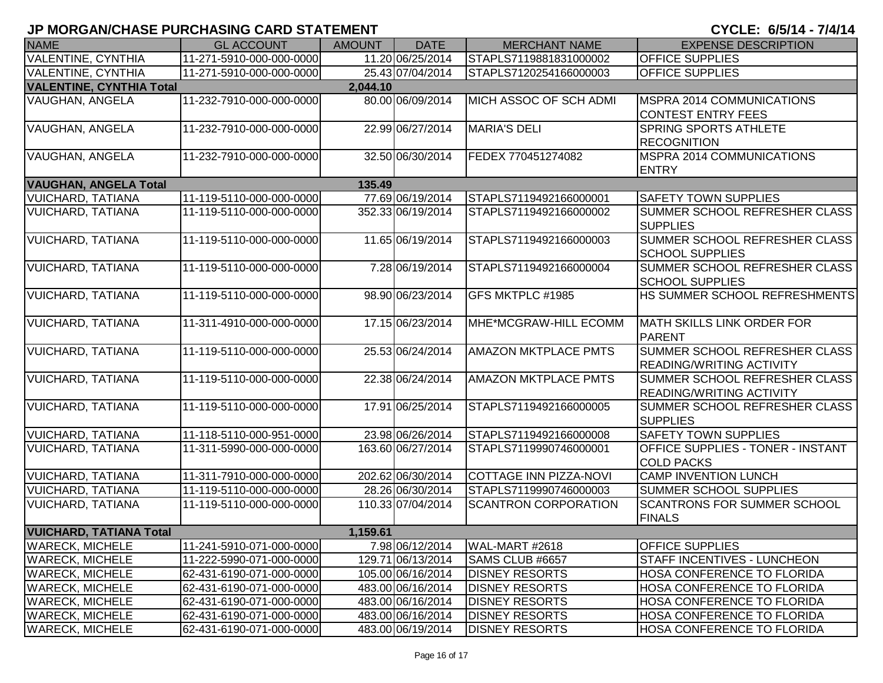| <b>NAME</b>                     | <b>GL ACCOUNT</b>        | <b>AMOUNT</b> | <b>DATE</b>       | <b>MERCHANT NAME</b>          | <b>EXPENSE DESCRIPTION</b>                                       |
|---------------------------------|--------------------------|---------------|-------------------|-------------------------------|------------------------------------------------------------------|
| <b>VALENTINE, CYNTHIA</b>       | 11-271-5910-000-000-0000 |               | 11.20 06/25/2014  | STAPLS7119881831000002        | <b>OFFICE SUPPLIES</b>                                           |
| <b>VALENTINE, CYNTHIA</b>       | 11-271-5910-000-000-0000 |               | 25.43 07/04/2014  | STAPLS7120254166000003        | <b>OFFICE SUPPLIES</b>                                           |
| <b>VALENTINE, CYNTHIA Total</b> |                          | 2,044.10      |                   |                               |                                                                  |
| <b>VAUGHAN, ANGELA</b>          | 11-232-7910-000-000-0000 |               | 80.00 06/09/2014  | MICH ASSOC OF SCH ADMI        | MSPRA 2014 COMMUNICATIONS<br><b>CONTEST ENTRY FEES</b>           |
| VAUGHAN, ANGELA                 | 11-232-7910-000-000-0000 |               | 22.99 06/27/2014  | <b>MARIA'S DELI</b>           | <b>SPRING SPORTS ATHLETE</b><br><b>RECOGNITION</b>               |
| VAUGHAN, ANGELA                 | 11-232-7910-000-000-0000 |               | 32.50 06/30/2014  | FEDEX 770451274082            | MSPRA 2014 COMMUNICATIONS<br><b>ENTRY</b>                        |
| <b>VAUGHAN, ANGELA Total</b>    |                          | 135.49        |                   |                               |                                                                  |
| <b>VUICHARD, TATIANA</b>        | 11-119-5110-000-000-0000 |               | 77.69 06/19/2014  | STAPLS7119492166000001        | <b>SAFETY TOWN SUPPLIES</b>                                      |
| <b>VUICHARD, TATIANA</b>        | 11-119-5110-000-000-0000 |               | 352.33 06/19/2014 | STAPLS7119492166000002        | <b>SUMMER SCHOOL REFRESHER CLASS</b><br><b>SUPPLIES</b>          |
| <b>VUICHARD, TATIANA</b>        | 11-119-5110-000-000-0000 |               | 11.65 06/19/2014  | STAPLS7119492166000003        | SUMMER SCHOOL REFRESHER CLASS<br><b>SCHOOL SUPPLIES</b>          |
| <b>VUICHARD, TATIANA</b>        | 11-119-5110-000-000-0000 |               | 7.28 06/19/2014   | STAPLS7119492166000004        | SUMMER SCHOOL REFRESHER CLASS<br><b>SCHOOL SUPPLIES</b>          |
| <b>VUICHARD, TATIANA</b>        | 11-119-5110-000-000-0000 |               | 98.90 06/23/2014  | GFS MKTPLC #1985              | HS SUMMER SCHOOL REFRESHMENTS                                    |
| <b>VUICHARD, TATIANA</b>        | 11-311-4910-000-000-0000 |               | 17.15 06/23/2014  | MHE*MCGRAW-HILL ECOMM         | MATH SKILLS LINK ORDER FOR<br><b>PARENT</b>                      |
| <b>VUICHARD, TATIANA</b>        | 11-119-5110-000-000-0000 |               | 25.53 06/24/2014  | <b>AMAZON MKTPLACE PMTS</b>   | SUMMER SCHOOL REFRESHER CLASS<br><b>READING/WRITING ACTIVITY</b> |
| <b>VUICHARD, TATIANA</b>        | 11-119-5110-000-000-0000 |               | 22.38 06/24/2014  | <b>AMAZON MKTPLACE PMTS</b>   | SUMMER SCHOOL REFRESHER CLASS<br><b>READING/WRITING ACTIVITY</b> |
| <b>VUICHARD, TATIANA</b>        | 11-119-5110-000-000-0000 |               | 17.91 06/25/2014  | STAPLS7119492166000005        | SUMMER SCHOOL REFRESHER CLASS<br><b>SUPPLIES</b>                 |
| <b>VUICHARD, TATIANA</b>        | 11-118-5110-000-951-0000 |               | 23.98 06/26/2014  | STAPLS7119492166000008        | <b>SAFETY TOWN SUPPLIES</b>                                      |
| <b>VUICHARD, TATIANA</b>        | 11-311-5990-000-000-0000 |               | 163.60 06/27/2014 | STAPLS7119990746000001        | <b>OFFICE SUPPLIES - TONER - INSTANT</b><br><b>COLD PACKS</b>    |
| <b>VUICHARD, TATIANA</b>        | 11-311-7910-000-000-0000 |               | 202.62 06/30/2014 | <b>COTTAGE INN PIZZA-NOVI</b> | <b>CAMP INVENTION LUNCH</b>                                      |
| <b>VUICHARD, TATIANA</b>        | 11-119-5110-000-000-0000 |               | 28.26 06/30/2014  | STAPLS7119990746000003        | <b>SUMMER SCHOOL SUPPLIES</b>                                    |
| <b>VUICHARD, TATIANA</b>        | 11-119-5110-000-000-0000 |               | 110.33 07/04/2014 | <b>SCANTRON CORPORATION</b>   | <b>SCANTRONS FOR SUMMER SCHOOL</b><br><b>FINALS</b>              |
| <b>VUICHARD, TATIANA Total</b>  |                          | 1,159.61      |                   |                               |                                                                  |
| <b>WARECK, MICHELE</b>          | 11-241-5910-071-000-0000 |               | 7.98 06/12/2014   | WAL-MART #2618                | <b>OFFICE SUPPLIES</b>                                           |
| <b>WARECK, MICHELE</b>          | 11-222-5990-071-000-0000 |               | 129.71 06/13/2014 | SAMS CLUB #6657               | <b>STAFF INCENTIVES - LUNCHEON</b>                               |
| <b>WARECK, MICHELE</b>          | 62-431-6190-071-000-0000 |               | 105.00 06/16/2014 | <b>DISNEY RESORTS</b>         | HOSA CONFERENCE TO FLORIDA                                       |
| <b>WARECK, MICHELE</b>          | 62-431-6190-071-000-0000 |               | 483.00 06/16/2014 | <b>DISNEY RESORTS</b>         | <b>HOSA CONFERENCE TO FLORIDA</b>                                |
| <b>WARECK, MICHELE</b>          | 62-431-6190-071-000-0000 |               | 483.00 06/16/2014 | <b>DISNEY RESORTS</b>         | <b>HOSA CONFERENCE TO FLORIDA</b>                                |
| <b>WARECK, MICHELE</b>          | 62-431-6190-071-000-0000 |               | 483.00 06/16/2014 | <b>DISNEY RESORTS</b>         | <b>HOSA CONFERENCE TO FLORIDA</b>                                |
| <b>WARECK, MICHELE</b>          | 62-431-6190-071-000-0000 |               | 483.00 06/19/2014 | <b>DISNEY RESORTS</b>         | <b>HOSA CONFERENCE TO FLORIDA</b>                                |